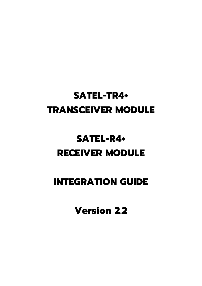# **SATEL-TR4+ TRANSCEIVER MODULE**

# **SATEL-R4+ RECEIVER MODULE**

# **INTEGRATION GUIDE**

**Version 2.2**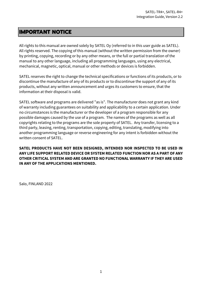#### **IMPORTANT NOTICE**

All rights to this manual are owned solely by SATEL Oy (referred to in this user guide as SATEL). All rights reserved. The copying of this manual (without the written permission from the owner) by printing, copying, recording or by any other means, or the full or partial translation of the manual to any other language, including all programming languages, using any electrical, mechanical, magnetic, optical, manual or other methods or devices is forbidden.

SATEL reserves the right to change the technical specifications or functions of its products, or to discontinue the manufacture of any of its products or to discontinue the support of any of its products, without any written announcement and urges its customers to ensure, that the information at their disposal is valid.

SATEL software and programs are delivered "as is". The manufacturer does not grant any kind of warranty including guarantees on suitability and applicability to a certain application. Under no circumstances is the manufacturer or the developer of a program responsible for any possible damages caused by the use of a program. The names of the programs as well as all copyrights relating to the programs are the sole property of SATEL. Any transfer, licensing to a third party, leasing, renting, transportation, copying, editing, translating, modifying into another programming language or reverse engineering for any intent is forbidden without the written consent of SATEL.

**SATEL PRODUCTS HAVE NOT BEEN DESIGNED, INTENDED NOR INSPECTED TO BE USED IN ANY LIFE SUPPORT RELATED DEVICE OR SYSTEM RELATED FUNCTION NOR AS A PART OF ANY OTHER CRITICAL SYSTEM AND ARE GRANTED NO FUNCTIONAL WARRANTY IF THEY ARE USED IN ANY OF THE APPLICATIONS MENTIONED.** 

Salo, FINLAND 2022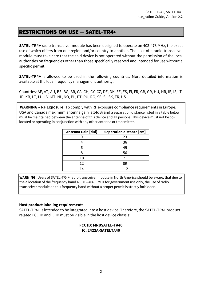#### **RESTRICTIONS ON USE – SATEL-TR4+**

**SATEL-TR4+** radio transceiver module has been designed to operate on 403-473 MHz, the exact use of which differs from one region and/or country to another. The user of a radio transceiver module must take care that the said device is not operated without the permission of the local authorities on frequencies other than those specifically reserved and intended for use without a specific permit.

**SATEL-TR4+** is allowed to be used in the following countries. More detailed information is available at the local frequency management authority.

Countries: AE, AT, AU, BE, BG, BR, CA, CH, CY, CZ, DE, DK, EE, ES, FI, FR, GB, GR, HU, HR, IE, IS, IT, JP, KR, LT, LU, LV, MT, NL, NO, PL, PT, RU, RO, SE, SI, SK, TR, US

**WARNING – RF Exposure!** To comply with RF exposure compliance requirements in Europe, USA and Canada maximum antenna gain is 14dBi and a separation distance listed in a table below must be maintained between the antenna of this device and all persons. This device must not be colocated or operating in conjunction with any other antenna or transmitter.

| <b>Antenna Gain [dBi]</b> | <b>Separation distance [cm]</b> |
|---------------------------|---------------------------------|
|                           | 23                              |
|                           | 36                              |
| 6                         | 45                              |
|                           | 56                              |
| 10                        | 71                              |
| 12                        | 89                              |
| 14                        | 112                             |

**WARNING!** Users of SATEL-TR4+ radio transceiver module in North America should be aware, that due to the allocation of the frequency band 406.0 – 406.1 MHz for government use only, the use of radio transceiver module on this frequency band without a proper permit is strictly forbidden.

#### **Host product labeling requirements**

SATEL-TR4+ is intended to be integrated into a host device. Therefore, the SATEL-TR4+ product related FCC ID and IC ID must be visible in the host device chassis:

#### **FCC ID: MRBSATEL-TA40 IC: 2422A-SATELTA40**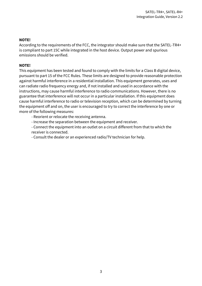#### **NOTE!**

According to the requirements of the FCC, the integrator should make sure that the SATEL-TR4+ is compliant to part 15C while integrated in the host device. Output power and spurious emissions should be verified.

#### **NOTE!**

This equipment has been tested and found to comply with the limits for a Class B digital device, pursuant to part 15 of the FCC Rules. These limits are designed to provide reasonable protection against harmful interference in a residential installation. This equipment generates, uses and can radiate radio frequency energy and, if not installed and used in accordance with the instructions, may cause harmful interference to radio communications. However, there is no guarantee that interference will not occur in a particular installation. If this equipment does cause harmful interference to radio or television reception, which can be determined by turning the equipment off and on, the user is encouraged to try to correct the interference by one or more of the following measures:

- Reorient or relocate the receiving antenna.

- Increase the separation between the equipment and receiver.

- Connect the equipment into an outlet on a circuit different from that to which the receiver is connected.

- Consult the dealer or an experienced radio/TV technician for help.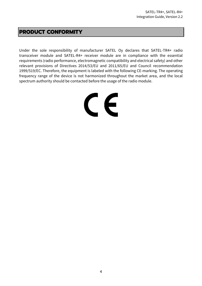#### **PRODUCT CONFORMITY**

Under the sole responsibility of manufacturer SATEL Oy declares that SATEL-TR4+ radio transceiver module and SATEL-R4+ receiver module are in compliance with the essential requirements (radio performance, electromagnetic compatibility and electrical safety) and other relevant provisions of Directives 2014/53/EU and 2011/65/EU and Council recommendation 1999/519/EC. Therefore, the equipment is labeled with the following CE-marking. The operating frequency range of the device is not harmonized throughout the market area, and the local spectrum authority should be contacted before the usage of the radio module.

# CE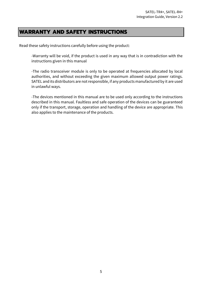#### **WARRANTY AND SAFETY INSTRUCTIONS**

Read these safety instructions carefully before using the product:

-Warranty will be void, if the product is used in any way that is in contradiction with the instructions given in this manual

-The radio transceiver module is only to be operated at frequencies allocated by local authorities, and without exceeding the given maximum allowed output power ratings. SATEL and its distributors are not responsible, if any products manufactured by it are used in unlawful ways.

-The devices mentioned in this manual are to be used only according to the instructions described in this manual. Faultless and safe operation of the devices can be guaranteed only if the transport, storage, operation and handling of the device are appropriate. This also applies to the maintenance of the products.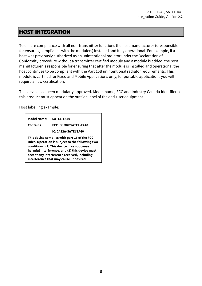#### **HOST INTEGRATION**

To ensure compliance with all non-transmitter functions the host manufacturer is responsible for ensuring compliance with the module(s) installed and fully operational. For example, if a host was previously authorized as an unintentional radiator under the Declaration of Conformity procedure without a transmitter certified module and a module is added, the host manufacturer is responsible for ensuring that after the module is installed and operational the host continues to be compliant with the Part 15B unintentional radiator requirements. This module is certified for Fixed and Mobile Applications only, for portable applications you will require a new certification.

This device has been modularly approved. Model name, FCC and Industry Canada identifiers of this product must appear on the outside label of the end-user equipment.

Host labelling example:

| <b>Model Name:</b> | SATEL-TA40                                                                                                                                                                                                                                                                              |  |  |  |
|--------------------|-----------------------------------------------------------------------------------------------------------------------------------------------------------------------------------------------------------------------------------------------------------------------------------------|--|--|--|
| <b>Contains</b>    | <b>FCC ID: MRBSATEL-TA40</b>                                                                                                                                                                                                                                                            |  |  |  |
|                    | IC: 2422A-SATELTA40                                                                                                                                                                                                                                                                     |  |  |  |
|                    | This device complies with part 15 of the FCC<br>rules. Operation is subject to the following two<br>conditions: (1) This device may not cause<br>harmful interference, and (2) this device must<br>accept any interference received, including<br>interference that may cause undesired |  |  |  |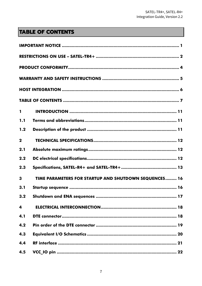# **TABLE OF CONTENTS**

| $\mathbf{1}$ |                                                       |
|--------------|-------------------------------------------------------|
| 1.1          |                                                       |
| 1.2          |                                                       |
| $\mathbf 2$  |                                                       |
| 2.1          |                                                       |
| 2.2          |                                                       |
| 2.3          |                                                       |
| 3            | TIME PARAMETERS FOR STARTUP AND SHUTDOWN SEQUENCES 16 |
| 3.1          |                                                       |
| 3.2          |                                                       |
| 4            |                                                       |
| 4.1          |                                                       |
| 4.2          |                                                       |
| 4.3          |                                                       |
| 4.4          |                                                       |
| 4.5          |                                                       |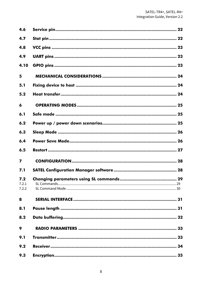| 4.6                     |     |
|-------------------------|-----|
| 4.7                     |     |
| 4.8                     |     |
| 4.9                     |     |
| 4.10                    |     |
| 5                       |     |
| 5.1                     |     |
| 5.2                     |     |
| 6                       |     |
| 6.1                     |     |
| 6.2                     |     |
| 6.3                     |     |
| 6.4                     |     |
| 6.5                     |     |
| $\overline{\mathbf{z}}$ |     |
| 7.1                     |     |
| 7.2<br>7.2.1<br>7.2.2   | .29 |
| 8                       |     |
| 8.1                     |     |
| 8.2                     |     |
| 9                       |     |
| 9.1                     |     |
| 9.2                     |     |
| 9.3                     |     |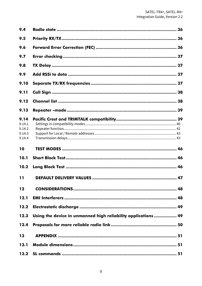| 9.4                                          |                                                                |    |
|----------------------------------------------|----------------------------------------------------------------|----|
| 9.5                                          |                                                                |    |
| 9.6                                          |                                                                |    |
| 9.7                                          |                                                                |    |
| 9.8                                          |                                                                |    |
| 9.9                                          |                                                                |    |
| 9.10                                         |                                                                |    |
| 9.11                                         |                                                                |    |
| 9.12                                         |                                                                |    |
| 9.13                                         |                                                                |    |
| 9.14<br>9.14.1<br>9.14.2<br>9.14.3<br>9.14.4 |                                                                |    |
|                                              |                                                                |    |
| 10                                           |                                                                |    |
| 10.1                                         |                                                                |    |
| 10.2                                         |                                                                |    |
| 11                                           |                                                                | 47 |
| 12                                           |                                                                |    |
| 12.1                                         |                                                                |    |
| 12.2                                         |                                                                |    |
| 12.3                                         | Using the device in unmanned high reliability applications  49 |    |
| 12.4                                         |                                                                |    |
| 13                                           |                                                                |    |
| 13.1                                         |                                                                |    |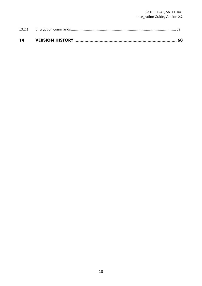| 14 |  |
|----|--|
|    |  |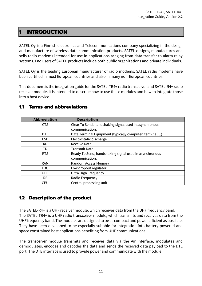#### **1 INTRODUCTION**

SATEL Oy is a Finnish electronics and Telecommunications company specializing in the design and manufacture of wireless data communication products. SATEL designs, manufactures and sells radio modems intended for use in applications ranging from data transfer to alarm relay systems. End users of SATEL products include both public organizations and private individuals.

SATEL Oy is the leading European manufacturer of radio modems. SATEL radio modems have been certified in most European countries and also in many non-European countries.

This document is the integration guide for the SATEL-TR4+ radio transceiver and SATEL-R4+ radio receiver module. It is intended to describe how to use these modules and how to integrate those into a host device.

| <b>Abbreviation</b> | <b>Description</b>                                     |  |
|---------------------|--------------------------------------------------------|--|
| <b>CTS</b>          | Clear To Send, handshaking signal used in asynchronous |  |
|                     | communication.                                         |  |
| <b>DTE</b>          | Data Terminal Equipment (typically computer, terminal) |  |
| <b>ESD</b>          | Electrostatic discharge                                |  |
| <b>RD</b>           | Receive Data                                           |  |
| TD                  | Transmit Data                                          |  |
| <b>RTS</b>          | Ready To Send, handshaking signal used in asynchronous |  |
|                     | communication.                                         |  |
| <b>RAM</b>          | Random Access Memory                                   |  |
| LDO.                | Low dropout regulator                                  |  |
| <b>UHF</b>          | Ultra High Frequency                                   |  |
| <b>RF</b>           | Radio Frequency                                        |  |
| <b>CPU</b>          | Central processing unit                                |  |

#### **1.1 Terms and abbreviations**

#### **1.2 Description of the product**

The SATEL-R4+ is a UHF receiver module, which receives data from the UHF frequency band. The SATEL-TR4+ is a UHF radio transceiver module, which transmits and receives data from the UHF frequency band. The modules are designed to be as compact and power efficient as possible. They have been developed to be especially suitable for integration into battery powered and space constrained host applications benefiting from UHF communications.

The transceiver module transmits and receives data via the Air interface, modulates and demodulates, encodes and decodes the data and sends the received data payload to the DTE port. The DTE interface is used to provide power and communicate with the module.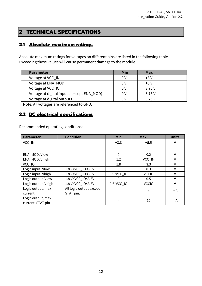# **2 TECHNICAL SPECIFICATIONS**

#### **2.1 Absolute maximum ratings**

Absolute maximum ratings for voltages on different pins are listed in the following table. Exceeding these values will cause permanent damage to the module.

Note. All voltages are referenced to GND.

#### **2.2 DC electrical specifications**

Recommended operating conditions:

| <b>Parameter</b>    | <b>Condition</b>                                                                            | Min          | <b>Max</b>   | <b>Units</b> |
|---------------------|---------------------------------------------------------------------------------------------|--------------|--------------|--------------|
| VCC_IN              |                                                                                             | $+3.8$       | $+5.5$       | ٧            |
|                     |                                                                                             |              |              |              |
| ENA_MOD, Vlow       |                                                                                             | $\mathbf{0}$ | 0.2          | V            |
| ENA_MOD, Vhigh      |                                                                                             | 1.2          | VCC_IN       | $\vee$       |
| VCC_IO              |                                                                                             | 1.8          | 3.3          | V            |
| Logic input, Vlow   | 1.8 V <vcc_io<3.3v< td=""><td>0</td><td>0.3</td><td>V</td></vcc_io<3.3v<>                   | 0            | 0.3          | V            |
| Logic input, Vhigh  | 1.8 V <vcc_io<3.3v< td=""><td>0.9*VCC_IO</td><td><b>VCCIO</b></td><td>V</td></vcc_io<3.3v<> | 0.9*VCC_IO   | <b>VCCIO</b> | V            |
| Logic output, Vlow  | 1.8 V <vcc_io<3.3v< td=""><td>0</td><td>0.5</td><td>٧</td></vcc_io<3.3v<>                   | 0            | 0.5          | ٧            |
| Logic output, Vhigh | 1.8 V <vcc_io<3.3v< td=""><td>0.6*VCC_IO</td><td><b>VCCIO</b></td><td>٧</td></vcc_io<3.3v<> | 0.6*VCC_IO   | <b>VCCIO</b> | ٧            |
| Logic output, max   | All logic output except                                                                     |              | 4            | mA           |
| current             | STAT pin.                                                                                   |              |              |              |
| Logic output, max   |                                                                                             |              | 12           | mA           |
| current, STAT pin   |                                                                                             |              |              |              |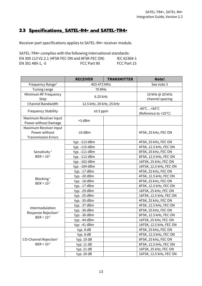# **2.3 Specifications, SATEL-R4+ and SATEL-TR4+**

Receiver part specifications applies to SATEL-R4+ receiver module.

| SATEL-TR4+ complies with the following international standards: |             |             |  |  |
|-----------------------------------------------------------------|-------------|-------------|--|--|
| EN 300 113 V2.2.1 (4FSK FEC ON and 8FSK FEC ON)                 |             | IEC 62368-1 |  |  |
| EN 301 489-1, -5                                                | FCC Part 90 | FCC Part 15 |  |  |

|                                   | <b>RECEIVER</b>          | <b>TRANSMITTER</b> | Note!                            |
|-----------------------------------|--------------------------|--------------------|----------------------------------|
| Frequency Range <sup>3</sup>      | 403-473 MHz              |                    | See note 3                       |
| Tuning range                      | 70 MHz                   |                    |                                  |
| Minimum RF Frequency              | 6.25 kHz                 |                    | 10 kHz @ 20 kHz                  |
| Step                              |                          |                    | channel spacing                  |
| Channel Bandwidth                 | 12.5 kHz, 20 kHz, 25 kHz |                    |                                  |
| <b>Frequency Stability</b>        | $±0.5$ ppm               |                    | $-40^{\circ}$ C +85 $^{\circ}$ C |
|                                   |                          |                    | (Reference to +25°C)             |
| Maximum Receiver Input            | +3 dBm                   |                    |                                  |
| Power without Damage              |                          |                    |                                  |
| Maximum Receiver Input            |                          |                    |                                  |
| Power without                     | $-10$ dBm                |                    | 4FSK, 25 kHz, FEC ON             |
| <b>Transmission Errors</b>        |                          |                    |                                  |
|                                   | typ. -113 dBm            |                    | 4FSK, 25 kHz, FEC ON             |
|                                   | typ. -115 dBm            |                    | 4FSK, 12.5 kHz, FEC ON           |
| Sensitivity <sup>1</sup>          | typ. -111 dBm            |                    | 8FSK, 25 kHz, FEC ON             |
| $BER = 10^{-2}$                   | typ. -112 dBm            |                    | 8FSK, 12.5 kHz, FEC ON           |
|                                   | typ. -102 dBm            |                    | 16FSK, 25 kHz, FEC ON            |
|                                   | typ. - 104 dBm           |                    | 16FSK, 12.5 kHz, FEC ON          |
|                                   | typ. -17 dBm             |                    | 4FSK, 25 kHz, FEC ON             |
| Blocking <sup>1</sup>             | typ. - 20 dBm            |                    | 4FSK, 12.5 kHz, FEC ON           |
| $BER = 10^{-2}$                   | typ. -18 dBm             |                    | 8FSK, 25 kHz, FEC ON             |
|                                   | typ. -17 dBm             |                    | 8FSK, 12.5 kHz, FEC ON           |
|                                   | typ. - 29 dBm            |                    | 16FSK, 25 kHz, FEC ON            |
|                                   | typ. - 25 dBm            |                    | 16FSK, 12.5 kHz, FEC ON          |
|                                   | typ. -35 dBm             |                    | 4FSK, 25 kHz, FEC ON             |
| Intermodulation                   | typ. -37 dBm             |                    | 4FSK, 12.5 kHz, FEC ON           |
| Response Rejection <sup>1</sup>   | typ. - 36 dBm            |                    | 8FSK, 25 kHz, FEC ON             |
| $BER = 10^{-2}$                   | typ. - 36 dBm            |                    | 8FSK, 12.5 kHz, FEC ON           |
|                                   | typ. - 44 dBm            |                    | 16FSK, 25 kHz, FEC ON            |
|                                   | typ. -41 dBm             |                    | 16FSK, 12.5 kHz, FEC ON          |
|                                   | typ. 8 dB                |                    | 4FSK, 25 kHz, FEC ON             |
|                                   | typ. 8 dB                |                    | 4FSK, 12.5 kHz, FEC ON           |
| CO-Channel Rejection <sup>1</sup> | typ. $10 dB$             |                    | 8FSK, 25 kHz, FEC ON             |
| $BER = 10^{-2}$                   | typ. $11 dB$             |                    | 8FSK, 12.5 kHz, FEC ON           |
|                                   | typ. 21 dB               |                    | 16FSK, 25 kHz, FEC ON            |
|                                   | typ. 20 dB               |                    | 16FSK, 12.5 kHz, FEC ON          |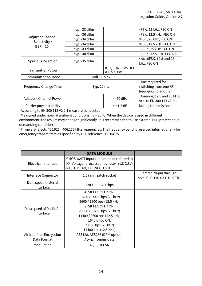|                                              | typ. -33 dBm   |                        | 4FSK, 25 kHz, FEC ON      |
|----------------------------------------------|----------------|------------------------|---------------------------|
|                                              | typ. -36 dBm   |                        | 4FSK, 12.5 kHz, FEC ON    |
| Adjacent Channel<br>Selectivity <sup>1</sup> | typ. -34 dBm   |                        | 8FSK, 25 kHz, FEC ON      |
| $BER = 10^{-2}$                              | typ. -34 dBm   |                        | 8FSK, 12.5 kHz, FEC ON    |
|                                              | typ. -43 dBm   |                        | 16FSK, 25 kHz, FEC ON     |
|                                              | typ. -40 dBm   |                        | 16FSK, 12.5 kHz, FEC ON   |
| <b>Spurious Rejection</b>                    | typ. $-35$ dBm |                        | 4/8/16FSK, 12.5 and 25    |
|                                              |                |                        | kHz, FEC ON               |
| <b>Transmitter Power</b>                     |                | 0.01, 0.02, 0.05, 0.1, |                           |
|                                              | 0.2, 0.5, 1 W  |                        |                           |
| <b>Communication Mode</b>                    | Half-Duplex    |                        |                           |
|                                              | typ. 20 ms     |                        | Time required for         |
| <b>Frequency Change Time</b>                 |                |                        | switching from one RF     |
|                                              |                |                        | frequency to another      |
| <b>Adjacent Channel Power</b>                |                | $<$ -60 dBc            | TX-mode, 12.5 and 25 kHz. |
|                                              |                |                        | Acc. to EN 300 113 v2.2.1 |
| Carrier power stability                      |                | $<$ ±1.5 dB            | During transmission.      |

<sup>1</sup> According to EN 300 113 V2.2.1 measurement setup.

<sup>2</sup> Measured under normal ambient conditions,  $T_A = 25$  °C. When the device is used in different environment, the results may change significantly. It is recommended to use external ESD protection in demanding conditions.

<sup>3</sup> Firmware rejects 405.925...406.176 MHz frequencies. The frequency band is reserved internationally for emergency transmitters as specified by FCC reference FCC 04-75

|                                      | <b>DATA MODULE</b>                                                                                                                                                                                                                      |                                                    |
|--------------------------------------|-----------------------------------------------------------------------------------------------------------------------------------------------------------------------------------------------------------------------------------------|----------------------------------------------------|
| Electrical Interface                 | CMOS-UART Inputs and outputs referred to<br>IO Voltage processed by user (1.8-3.3V)<br>RTS, CTS, RX, TX, +VCC, GND                                                                                                                      |                                                    |
| Interface Connector                  | 1.27 mm pitch socket                                                                                                                                                                                                                    | Samtec 20-pin through<br>hole, CLP-110-02-L-D-K-TR |
| Data speed of Serial<br>interface    | $1200 - 115200$ bps                                                                                                                                                                                                                     |                                                    |
| Data speed of Radio Air<br>Interface | 4FSK FEC OFF / ON:<br>19200 / 14400 bps (25 kHz)<br>9600 / 7200 bps (12.5 kHz)<br><b>8FSK FEC OFF / ON:</b><br>28800 / 19200 bps (25 kHz)<br>14400 / 9600 bps (12.5 kHz)<br>16FSK FEC ON:<br>28800 bps (25 kHz)<br>14400 bps (12.5 kHz) |                                                    |
| Air Interface Encryption             | AES128, AES256 (DRM option)                                                                                                                                                                                                             |                                                    |
| Data Format                          | Asynchronous data                                                                                                                                                                                                                       |                                                    |
| Modulation                           | 4-, 8-, 16FSK                                                                                                                                                                                                                           |                                                    |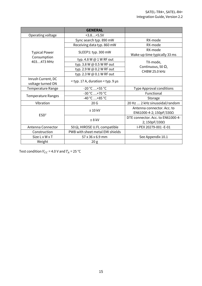|                                     | <b>GENERAL</b>                        |                                   |
|-------------------------------------|---------------------------------------|-----------------------------------|
| Operating voltage                   | $+3.8+5.5V$                           |                                   |
|                                     | Sync search typ. 890 mW               | RX-mode                           |
|                                     | Receiving data typ. 860 mW            | RX-mode                           |
|                                     | SLEEP1: typ. 300 mW                   | RX-mode                           |
| <b>Typical Power</b><br>Consumption |                                       | Wake-up time typically 33 ms      |
| 403473 MHz                          | typ. 4.8 W @ 1 W RF out               | TX-mode,                          |
|                                     | typ. 3.8 W @ 0.5 W RF out             | Continuous, 50 $\Omega$ ,         |
|                                     | typ. 2.9 W @ 0.2 W RF out             | CHBW 25.0 kHz                     |
|                                     | typ. 2.3 W @ 0.1 W RF out             |                                   |
| Inrush Current, DC                  | $<$ typ. 17 A, duration $<$ typ. 9 µs |                                   |
| voltage turned ON                   |                                       |                                   |
| <b>Temperature Range</b>            | $-20 °C  +55 °C$                      | <b>Type Approval conditions</b>   |
| <b>Temperature Ranges</b>           | $-30 °C  +70 °C$                      | Functional                        |
|                                     | $-40 °C  +85 °C$                      | Storage                           |
| Vibration                           | 20G                                   | 20 Hz  2 kHz sinusoidal/random    |
|                                     | $± 10$ kV                             | Antenna connector. Acc. to        |
| ESD <sup>2</sup>                    |                                       | EN61000-4-2; 150pF/330Ω           |
|                                     | $± 8$ kV                              | DTE connector. Acc. to EN61000-4- |
|                                     |                                       | 2; $150pF/330\Omega$              |
| Antenna Connector                   | 50 $\Omega$ , HIROSE U.FL compatible  | I-PEX 20279-001-E-01              |
| Construction                        | PWB with sheet metal EMI shields      |                                   |
| Size L x W x T                      | 57 x 36 x 6.9 mm                      | See Appendix 10.1                 |
| Weight                              | 20 <sub>g</sub>                       |                                   |

Test condition  $V_{CC}$  = 4.0 V and  $T_A$  = 25 °C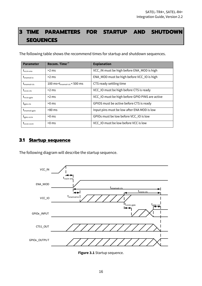# **3 TIME PARAMETERS FOR STARTUP AND SHUTDOWN SEQUENCES**

The following table shows the recommend times for startup and shutdown sequences.

| <b>Parameter</b>                            | Recom. Time <sup>(*</sup>         | <b>Explanation</b>                              |
|---------------------------------------------|-----------------------------------|-------------------------------------------------|
| $t_{\text{vccin-ena}}$                      | $>2$ ms                           | VCC_IN must be high before ENA_MOD is high      |
| $t_{\footnotesize{\textnormal{enamod-io}}}$ | $>2$ ms                           | ENA_MOD must be high before VCC_IO is high      |
| $t_{enamod-cts}$                            | 100 ms< $t_{enamod-cts}$ < 500 ms | CTS ready settling time                         |
| $t_{\rm{vccio-cts}}$                        | $>2$ ms                           | VCC_IO must be high before CTS is ready         |
| t <sub>vccio-gpio</sub>                     | $>2$ ms                           | VCC_IO must be high before GPIO PINS are active |
| $t_{\text{gpio-cts}}$                       | $>0$ ms                           | GPIOS must be active before CTS is ready        |
| $t_{enamod-gpio}$                           | $>80$ ms                          | Input pins must be low after ENA MOD is low     |
| $t_{\text{gpio-vccio}}$                     | $>0$ ms                           | GPIOs must be low before VCC_IO is low          |
| L <sub>vccio-vccin</sub>                    | $>0$ ms                           | VCC_IO must be low before VCC is low            |

#### **3.1 Startup sequence**

The following diagram will describe the startup sequence.



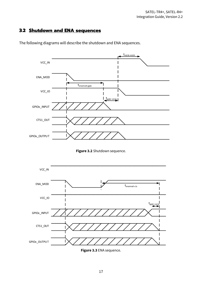#### **3.2 Shutdown and ENA sequences**



The following diagrams will describe the shutdown and ENA sequences.





**Figure 3.3** ENA sequence.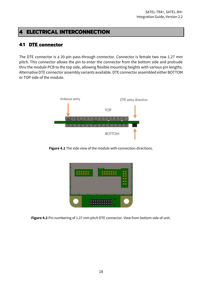#### **4 ELECTRICAL INTERCONNECTION**

#### **4.1 DTE connector**

The DTE connector is a 20-pin pass-through connector. Connector is female two row 1.27 mm pitch. This connector allows the pin to enter the connector from the bottom side and protrude thru the module PCB to the top side, allowing flexible mounting heights with various pin lengths. Alternative DTE connector assembly variants available. DTE connector assembled either BOTTOM or TOP side of the module.



**Figure 4.1** The side view of the module with connection directions.

| ╺ |   |  |  |
|---|---|--|--|
|   | ٠ |  |  |

**Figure 4.2** Pin numbering of 1.27 mm pitch DTE connector. View from bottom side of unit.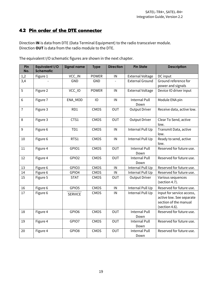#### **4.2 Pin order of the DTE connector**

Direction **IN** is data from DTE (Data Terminal Equipment) to the radio transceiver module. Direction **OUT** is data from the radio module to the DTE.

| Pin<br>No.     | Equivalent I/O<br><b>Schematic</b> | <b>Signal name</b> | <b>Type</b>  | <b>Direction</b> | <b>Pin State</b>             | <b>Description</b>                                                                               |
|----------------|------------------------------------|--------------------|--------------|------------------|------------------------------|--------------------------------------------------------------------------------------------------|
| 1,2            | Figure 1                           | VCC_IN             | <b>POWER</b> | IN               | <b>External Voltage</b>      | DC input                                                                                         |
| 3,4            |                                    | <b>GND</b>         | GND          |                  | <b>External Ground</b>       | Ground reference for                                                                             |
|                |                                    |                    |              |                  |                              | power and signals                                                                                |
| 5              | Figure 2                           | VCC_IO             | <b>POWER</b> | IN               | <b>External Voltage</b>      | Device IO driver input                                                                           |
| 6              | Figure 7                           | ENA_MOD            | 10           | IN               | <b>Internal Pull</b><br>Down | Module ENA pin                                                                                   |
| $\overline{1}$ | Figure 3                           | RD1                | CMOS         | <b>OUT</b>       | <b>Output Driver</b>         | Receive data, active low.                                                                        |
| 8              | Figure 3                           | CTS1               | CMOS         | OUT              | <b>Output Driver</b>         | Clear To Send, active<br>low.                                                                    |
| 9              | Figure 6                           | TD1                | CMOS         | IN               | Internal Pull Up             | Transmit Data, active<br>low.                                                                    |
| 10             | Figure 6                           | RTS1               | CMOS         | IN               | Internal Pull Up             | Ready to send, active<br>low.                                                                    |
| 11             | Figure 4                           | GPIO1              | CMOS         | <b>OUT</b>       | <b>Internal Pull</b><br>Down | Reserved for future use.                                                                         |
| 12             | Figure 4                           | GPIO <sub>2</sub>  | CMOS         | OUT              | <b>Internal Pull</b><br>Down | Reserved for future use.                                                                         |
| 13             | Figure 6                           | GPIO3              | CMOS         | IN               | Internal Pull Up             | Reserved for future use.                                                                         |
| 14             | Figure 6                           | GPIO4              | CMOS         | IN               | Internal Pull Up             | Reserved for future use.                                                                         |
| 15             | Figure 5                           | <b>STAT</b>        | CMOS         | OUT              | <b>Output Driver</b>         | Various sequences<br>(section 4.7).                                                              |
| 16             | Figure 6                           | GPIO5              | CMOS         | IN               | Internal Pull Up             | Reserved for future use.                                                                         |
| 17             | Figure 6                           | <b>SERVICE</b>     | CMOS         | IN               | Internal Pull Up             | Input for service access,<br>active low. See separate<br>section of the manual<br>(section 4.6). |
| 18             | Figure 4                           | GPIO6              | CMOS         | OUT              | <b>Internal Pull</b><br>Down | Reserved for future use.                                                                         |
| 19             | Figure 4                           | GPIO7              | CMOS         | <b>OUT</b>       | <b>Internal Pull</b><br>Down | Reserved for future use.                                                                         |
| 20             | Figure 4                           | GPIO8              | CMOS         | OUT              | <b>Internal Pull</b><br>Down | Reserved for future use.                                                                         |

The equivalent I/O schematic figures are shown in the next chapter.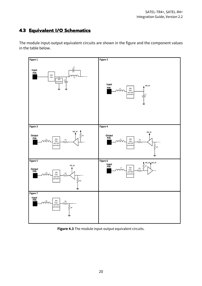# **4.3 Equivalent I/O Schematics**

The module input-output equivalent circuits are shown in the figure and the component values in the table below.



**Figure 4.3** The module input-output equivalent circuits.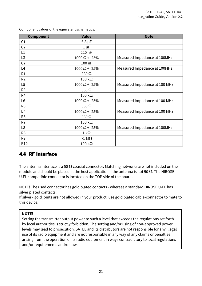| <b>Component</b> | <b>Value</b>          | <b>Note</b>                   |
|------------------|-----------------------|-------------------------------|
| C <sub>1</sub>   | 6.8 pF                |                               |
| C <sub>2</sub>   | 1 uF                  |                               |
| L1               | 220 nH                |                               |
| L <sub>3</sub>   | $1000 \Omega + 25\%$  | Measured Impedance at 100MHz  |
| C <sub>7</sub>   | 100 nF                |                               |
| L4               | $1000 \Omega$ + 25%   | Measured Impedance at 100MHz  |
| R1               | 330 $\Omega$          |                               |
| R <sub>2</sub>   | $100 \text{ k}\Omega$ |                               |
| L5               | $1000 \Omega + 25\%$  | Measured Impedance at 100 MHz |
| R <sub>3</sub>   | 330 $\Omega$          |                               |
| R4               | $100 \text{ k}\Omega$ |                               |
| L <sub>6</sub>   | $1000 \Omega + 25\%$  | Measured Impedance at 100 MHz |
| R <sub>5</sub>   | 330 $\Omega$          |                               |
| L7               | $1000 \Omega + 25\%$  | Measured Impedance at 100 MHz |
| R <sub>6</sub>   | 330 $\Omega$          |                               |
| R7               | $100 \text{ k}\Omega$ |                               |
| L <sub>8</sub>   | $1000 \Omega + 25\%$  | Measured Impedance at 100MHz  |
| R <sub>8</sub>   | $1 \text{ k}\Omega$   |                               |
| R9               | $>1$ M $\Omega$       |                               |
| R <sub>10</sub>  | $100 \text{ k}\Omega$ |                               |

Component values of the equivalent schematics:

#### **4.4 RF interface**

The antenna interface is a 50  $\Omega$  coaxial connector. Matching networks are not included on the module and should be placed in the host application if the antenna is not 50  $\Omega$ . The HIROSE U.FL compatible connector is located on the TOP side of the board.

NOTE! The used connector has gold plated contacts - whereas a standard HIROSE U-FL has silver plated contacts.

If silver - gold joints are not allowed in your product, use gold plated cable-connector to mate to this device.

#### **NOTE!**

Setting the transmitter output power to such a level that exceeds the regulations set forth by local authorities is strictly forbidden. The setting and/or using of non-approved power levels may lead to prosecution. SATEL and its distributors are not responsible for any illegal use of its radio equipment and are not responsible in any way of any claims or penalties arising from the operation of its radio equipment in ways contradictory to local regulations and/or requirements and/or laws.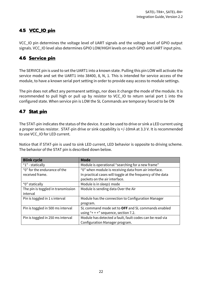#### **4.5 VCC\_IO pin**

VCC\_IO pin determines the voltage level of UART signals and the voltage level of GPIO output signals. VCC\_IO level also determines GPIO LOW/HIGH levels on each GPIO and UART input pins.

#### **4.6 Service pin**

The SERVICE pin is used to set the UART1 into a known state. Pulling this pin LOW will activate the service mode and set the UART1 into 38400, 8, N, 1. This is intended for service access of the module, to have a known serial port setting in order to provide easy access to module settings.

The pin does not affect any permanent settings, nor does it change the mode of the module. It is recommended to pull high or pull up by resistor to VCC\_IO to return serial port 1 into the configured state. When service pin is LOW the SL Commands are temporary forced to be ON

#### **4.7 Stat pin**

The STAT-pin indicates the status of the device. It can be used to drive or sink a LED current using a proper series resistor. STAT-pin drive or sink capability is +/-10mA at 3.3 V. It is recommended to use VCC\_IO for LED current.

Notice that if STAT-pin is used to sink LED current, LED behavior is opposite to driving scheme. The behavior of the STAT pin is described down below.

| <b>Blink cycle</b>                 | <b>Mode</b>                                                 |
|------------------------------------|-------------------------------------------------------------|
| " $1"$ - statically                | Module is operational "searching for a new frame"           |
| "0" for the endurance of the       | "0" when module is receiving data from air interface.       |
| received frame.                    | In practical cases will toggle at the frequency of the data |
|                                    | packets on the air interface.                               |
| "0" statically                     | Module is in sleep1 mode                                    |
| The pin is toggled in transmission | Module is sending data Over the Air                         |
| interval                           |                                                             |
| Pin is toggled in 1 s interval     | Module has the connection to Configuration Manager          |
|                                    | program.                                                    |
| Pin is toggled in 500 ms interval  | SL command mode set to OFF and SL commands enabled          |
|                                    | using "+ + +" sequence, section 7.2.                        |
| Pin is toggled in 250 ms interval  | Module has detected a fault, fault codes can be read via    |
|                                    | Configuration Manager program.                              |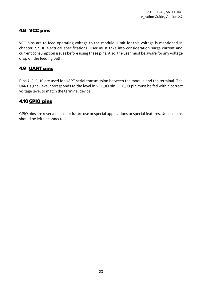## **4.8 VCC pins**

VCC pins are to feed operating voltage to the module. Limit for this voltage is mentioned in chapter 2.2 DC electrical specifications. User must take into consideration surge current and current consumption issues before using these pins. Also, the user must be aware for any voltage drop on the feeding path.

#### **4.9 UART pins**

Pins 7, 8, 9, 10 are used for UART serial transmission between the module and the terminal. The UART signal level corresponds to the level in VCC\_IO pin. VCC\_IO pin must be fed with a correct voltage level to match the terminal device.

#### **4.10GPIO pins**

GPIO pins are reserved pins for future use or special applications or special features. Unused pins should be left unconnected.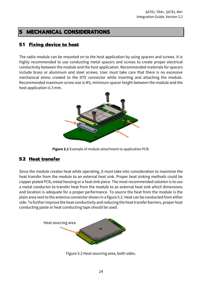# **5 MECHANICAL CONSIDERATIONS**

#### **5.1 Fixing device to host**

The radio module can be mounted on to the host application by using spacers and screws. It is highly recommended to use conducting metal spacers and screws to create proper electrical conductivity between the module and the host application. Recommended materials for spacers include brass or aluminum and steel screws. User must take care that there is no excessive mechanical stress created to the DTE connector while inserting and attaching the module. Recommended maximum screw size is M3, minimum spacer height between the module and the host application is 3 mm.



**Figure 5.1** Example of module attachment to application PCB.

#### **5.2 Heat transfer**

Since the module creates heat while operating, it must take into consideration to maximize the heat transfer from the module to an external heat sink. Proper heat sinking methods could be copper plated PCB, metal housing or a heat sink piece. The most recommended solution is to use a metal conductor to transfer heat from the module to an external heat sink which dimensions and location is adequate for a proper performance. To source the heat from the module is the plain area next to the antenna connector shown in a figure 5.2. Heat can be conducted from either side. To further improve the heat conductivity and reducing the heat transfer barriers, proper heat conducting paste or heat conducting tape should be used.



Figure 5.2 Heat sourcing area, both sides.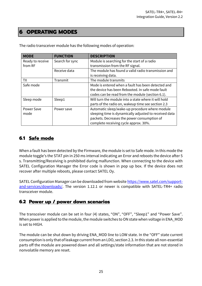#### **6 OPERATING MODES**

| <b>MODE</b>      | <b>FUNCTION</b> | <b>DESCRIPTION</b>                                     |
|------------------|-----------------|--------------------------------------------------------|
| Ready to receive | Search for sync | Module is searching for the start of a radio           |
| from RF          |                 | transmission from the RF signal.                       |
|                  | Receive data    | The module has found a valid radio transmission and    |
|                  |                 | is receiving data.                                     |
| TX.              | Transmit        | The module transmits                                   |
| Safe mode        |                 | Mode is entered when a fault has been detected and     |
|                  |                 | the device has been Rebooted. In safe mode fault       |
|                  |                 | codes can be read from the module (section 6.1).       |
| Sleep mode       | Sleep1          | Will turn the module into a state where it will hold   |
|                  |                 | parts of the radio on, wakeup time see section 2.3     |
| Power Save       | Power save      | Automatic sleep/wake-up procedure where module         |
| mode             |                 | sleeping time is dynamically adjusted to received data |
|                  |                 | packets. Decreases the power consumption of            |
|                  |                 | complete receiving cycle approx. 30%.                  |

The radio transceiver module has the following modes of operation:

#### **6.1 Safe mode**

When a fault has been detected by the Firmware, the module is set to Safe mode. In this mode the module toggle's the STAT pin in 250 ms interval indicating an Error and reboots the device after 5 s. Transmitting/Receiving is prohibited during malfunction. When connecting to the device with SATEL Configuration Manager the Error code is shown in pop up box. If the device does not recover after multiple reboots, please contact SATEL Oy.

SATEL Configuration Manager can be downloaded from websit[e https://www.satel.com/support](https://www.satel.com/support-and-services/downloads/)[and-services/downloads/.](https://www.satel.com/support-and-services/downloads/) The version 1.12.1 or newer is compatible with SATEL-TR4+ radio transceiver module.

#### **6.2 Power up / power down scenarios**

The transceiver module can be set in four (4) states, "ON", "OFF", "Sleep1" and "Power Save". When power is applied to the module, the module switches to ON state when voltage in ENA\_MOD is set to HIGH.

The module can be shut down by driving ENA\_MOD line to LOW state. In the "OFF" state current consumption is only that of leakage current from an LDO, section 2.3. In this state all non-essential parts off the module are powered down and all settings/state information that are not stored in nonvolatile memory are reset.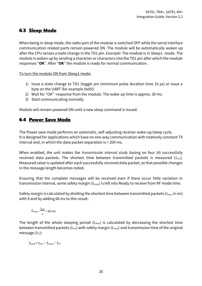#### **6.3 Sleep Mode**

When being in sleep mode, the radio part of the module is switched OFF while the serial interface communication related parts remain powered ON. The module will be automatically woken up after the CPU senses a state change in the TD1 pin. *Example:* The module is in Sleep1- mode. The module is woken up by sending a character or characters into the TD1 pin after which the module responses "**OK**". After "**OK**" the module is ready for normal communication.

To turn the module ON from Sleep1 mode:

- 1) Issue a state change to TD1 (toggle pin (minimum pulse duration time 10 µs) or issue a byte on the UART (for example 0x00))
- 2) Wait for "OK" -response from the module. The wake-up time is approx. 30 ms.
- 3) Start communicating normally

Module will remain powered ON until a new sleep command is issued.

#### **6.4 Power Save Mode**

The Power save mode performs an automatic, self-adjusting receiver wake-up/sleep cycle. It is designed for applications which base on one-way communication with relatively constant TX interval and, in which the data packet separation is > 200 ms.

When enabled, the unit makes the *transmission interval study* basing on four (4) successfully received data packets. The shortest time between transmitted packets is measured (*tmin*). Measured value is updated after each successfully received data packet, so that possible changes in the message length becomes noted.

Ensuring that the complete messages will be received even if there occur little variation in transmission interval, some safety margin (*tmarg*) is left into Ready to receive from RF mode time.

Safety margin is calculated by dividing the shortest time between transmitted packets (*tmin, in ms*) with 8 and by adding 60 ms to this result:

$$
t_{marg} = \frac{t_{\min}}{8} + 60 \text{ ms}
$$

The length of the whole sleeping period (*tsleep*) is calculated by decreasing the shortest time between transmitted packets (*tmin*) with safety margin (*tmarg*) and transmission time of the original message (*tTX*):

*tsleep= tmin − tmarg − tTX*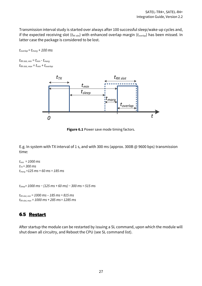Transmission interval study is started over always after 100 successful sleep/wake-up cycles and, if the expected receiving slot (*tRX slot*) with enhanced overlap margin (*toverlap*) has been missed. In latter case the package is considered to be lost.

 $t_{\text{overlap}} = t_{\text{mara}} + 100 \text{ ms}$ 

 $t_{RX \, slot, \, min} = t_{min} - t_{marg}$  $t_{RX \, slot, \, max} = t_{min} + t_{overlap}$ 



**Figure 6.1** Power save mode timing factors.

E.g. In system with TX interval of 1 s, and with 300 ms (approx. 300B @ 9600 bps) transmission time:

*tmin = 1000 ms tTX = 300 ms tmarg =125 ms + 60 ms = 185 ms*

*tsleep= 1000 ms − (125 ms + 60 ms) − 300 ms = 515 ms*

*tRX slot, min = 1000 ms – 185 ms = 815 ms tRX slot, max = 1000 ms + 285 ms= 1285 ms*

#### **6.5 Restart**

After startup the module can be restarted by issuing a SL command, upon which the module will shut down all circuitry, and Reboot the CPU (see SL command list).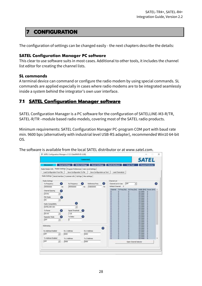#### **7 CONFIGURATION**

The configuration of settings can be changed easily - the next chapters describe the details:

#### **SATEL Configuration Manager PC software**

This clear to use software suits in most cases. Additional to other tools, it includes the channel list editor for creating the channel lists.

#### **SL commands**

A terminal device can command or configure the radio modem by using special commands. SL commands are applied especially in cases where radio modems are to be integrated seamlessly inside a system behind the integrator's own user interface.

#### **7.1 SATEL Configuration Manager software**

SATEL Configuration Manager is a PC software for the configuration of SATELLINE-M3-R/TR, SATEL-R/TR –module based radio models, covering most of the SATEL radio products.

Minimum requirements: SATEL Configuration Manager PC-program COM port with baud rate min. 9600 bps (alternatively with industrial level USB-RS adapter), recommended Win10 64-bit OS.

The software is available from the local SATEL distributor or at www.satel.com.

|                                                                              |                      | Connected                                             |    |                                      |                       | <b>SATEL</b>                           |    |
|------------------------------------------------------------------------------|----------------------|-------------------------------------------------------|----|--------------------------------------|-----------------------|----------------------------------------|----|
| <b>Disconnect</b>                                                            | <b>Read Settings</b> | Write Settings                                        |    | <b>Reset Settings Plash Handware</b> | <b>Scan Tool</b>      | <b>Channel Selector</b>                |    |
| Radio Modem Info Modem Settings Program Preferences   User Level Settings    |                      |                                                       |    |                                      |                       |                                        |    |
| Load Configuration From File                                                 |                      | Save Configuration To File Save Configuration as Text |    | Load ChannelLet                      |                       |                                        |    |
| Radio Settings   Serial Interface   Customer info   Call Sign   Msc settings |                      |                                                       |    |                                      |                       |                                        |    |
|                                                                              |                      |                                                       |    |                                      |                       |                                        |    |
| <b>Radio Settings:</b><br>Œ.<br>Tx Prequency                                 | Rx Frequency         | -7.<br>Reference Freq                                 | o  | Channel List<br>Channel Eist In Use: | lore<br>٠             |                                        | œ. |
| +09500000                                                                    | 409500000<br>н       | 438000000<br>HŁ                                       | Ħ  | Default Channel: 0                   |                       |                                        |    |
|                                                                              |                      |                                                       |    | Charinel -<br>TX Freq B45            | RX Freq [Hz]          | Visith (M3) Power (HAN) ^              |    |
| Channel Spacing<br><b>20 km</b>                                              |                      |                                                       |    | ۵<br>음<br>۰                          | ٥                     | 12-5 MHz<br>0<br>12.5 kHz<br>ö         |    |
| ٠                                                                            |                      |                                                       |    | 8<br>ø<br>۰                          | ø<br>۵                | a<br>12.5 MHz<br>ö<br>12.5 letz        |    |
| <b>PEC Mode</b><br>low<br>٠                                                  |                      |                                                       |    | ū<br>۰<br>ïα.                        | a<br>a                | 12.5 kHz<br>ö<br>12.5 kHz<br>ö         |    |
|                                                                              | Ŧ.                   |                                                       |    | 8<br>ø<br>ä<br>o                     | ø<br>ö                | <b>12.5 MHz</b><br>Ð<br>12.5 lotz<br>۵ |    |
| Radio Compatibility                                                          |                      |                                                       |    | ø<br>÷                               | ā                     | 12,5391<br>o                           |    |
| SATELINE-3AS                                                                 |                      |                                                       |    | ö<br>10<br>o                         | ø<br>a                | 12.5 letz<br>ö<br>12.5 00世<br>D        |    |
| Tx Power                                                                     | Signal Threshold     | m                                                     |    | 8888<br><b>IQ</b><br>ø               | ö<br>9                | 12.53/47<br>ø<br>12.5 kHz<br>o         |    |
| 50 mW<br>٠                                                                   | $-118$               |                                                       |    | ø<br>ä<br>σ                          | ö<br>ä                | 12.5 MHz<br>ŭ<br>12.5 lptr<br>a        |    |
| <b>Repeater Mode</b>                                                         | Tx Delay             |                                                       |    | ö<br>$\circ$<br>88<br>۰              | ö<br>ø                | 12.5 kHz<br>ō<br>12.51Hz<br>ø          |    |
| $\overline{or}$<br>$\left  \cdot \right $                                    | ь                    |                                                       |    | $\alpha$<br>ö<br>ö                   | ø<br>ø                | 12.5 lets<br>Ď<br>Ď<br>12.5 kHz        |    |
|                                                                              |                      |                                                       |    | ä<br>۰<br>ö<br>o                     | ø<br>ö                | D<br>12.53912<br>ö<br>12.5 MHz         |    |
| Addressing                                                                   |                      |                                                       | G. | o<br>ø                               | a<br>ö                | 12-5 km<br>Ð<br>12.5 kHz<br>o          |    |
| Rx Address Enabled                                                           | Rx 1 Address         | Rx 2 Address                                          |    | ö                                    | ø<br>ä                | 12.5 kHz<br>ø<br>ø<br>12.5 kHz         |    |
| <b>OFF</b><br>$\left  \cdot \right $                                         | 0000                 | lonco-                                                |    | 0000000<br>998                       | a<br>a                | ö<br>12.5 MHz<br>12.5 kHz<br>ö         |    |
| To Address Enabled                                                           | Tv:1Address          | Tx 2 Address                                          |    | ۰<br>a<br>o                          | ٥                     | 12.5 iHz<br>D<br>12.5 kHz<br>o         |    |
| lore<br>٠                                                                    | 0000                 | doco-                                                 |    |                                      | Open Channel Selector |                                        |    |
|                                                                              |                      |                                                       |    |                                      |                       |                                        |    |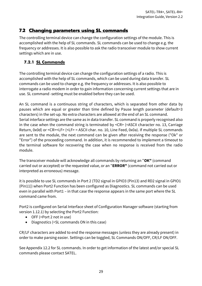#### **7.2 Changing parameters using SL commands**

The controlling terminal device can change the configuration settings of the module. This is accomplished with the help of SL commands. SL commands can be used to change e.g. the frequency or addresses. It is also possible to ask the radio transceiver module to show current settings which are in use.

#### **7.2.1 SL Commands**

The controlling terminal device can change the configuration settings of a radio. This is accomplished with the help of SL commands, which can be used during data transfer. SL commands can be used to change e.g. the frequency or addresses. It is also possible to interrogate a radio modem in order to gain information concerning current settings that are in use. SL command -setting must be enabled before they can be used.

An SL command is a continuous string of characters, which is separated from other data by pauses which are equal or greater than time defined by Pause length parameter (default=3 characters) in the set-up. No extra characters are allowed at the end of an SL command. Serial interface settings are the same as in data transfer. SL command is properly recognised also in the case when the command string is terminated by <CR> (=ASCII character no. 13, Carriage Return, 0x0d) or <CR><LF> (<LF> = ASCII char. no. 10, Line Feed, 0x0a). If multiple SL commands are sent to the module, the next command can be given after receiving the response ("Ok" or "Error") of the proceeding command. In addition, it is recommended to implement a timeout to the terminal software for recovering the case when no response is received from the radio module.

The transceiver module will acknowledge all commands by returning an "**OK"** (command carried out or accepted) or the requested value, or an "**ERROR"** (command not carried out or interpreted as erroneous) message.

it is possible to use SL commands in Port 2 (TD2 signal in GPIO3 (Pin13) and RD2 signal in GPIO1 (Pin11)) when Port2 Function has been configured as Diagnostics. SL commands can be used even in parallel with Port1 – in that case the response appears in the same port where the SL command came from.

Port2 is configured on Serial Interface sheet of Configuration Manager software (starting from version 1.12.1) by selecting the Port2 Function:

- OFF (=Port 2 not in use)
- Diagnostics (=SL commands ON in this case)

CR/LF characters are added to end the response messages (unless they are already present) in order to make parsing easier. Settings can be toggled, SL Commands ON/OFF, CR/LF ON/OFF.

See Appendix 12.2 for SL commands. In order to get information of the latest and/or special SL commands please contact SATEL.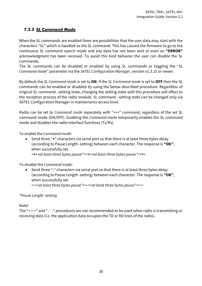#### **7.2.2 SL Command Mode**

When the SL commands are enabled there are possibilities that the user data may start with the characters "SL" which is handled as the SL command. This has caused the firmware to go to the continuous SL command search mode and any data has not been sent or even an **"ERROR"** acknowledgment has been received. To avoid this kind behavior the user can disable the SL commands.

The SL commands can be disabled or enabled by using SL commands or toggling the "*SL Command mode*" parameter via the *SATEL Configuration Manager,* version v1.3.15 or newer.

By default the *SL Command mode* is set to **ON**. If the *SL Command mode* is set to **OFF** then the SL commands can be enabled or disabled by using the below described procedure. Regardless of original SL command –setting state, changing the setting state with this procedure will effect to the reception process of the radio module. SL command –setting state can be changed only via SATEL Configuration Manager in maintenance access level.

Radio can be set to *Command mode* separately with "+++" command, regardless of the set SL command mode (ON/OFF). Enabling the *Command mode* temporarily enables the SL command mode and disables the radio interface functions (Tx/Rx).

To enable the *Command mode*:

• Send three "**+**" characters via serial port so that there is at least three bytes delay (according to Pause Length -setting) between each character. The response is **"OK"**, when successfully set.

*<+><at least three bytes pause\*><+><at least three bytes pause\*><+>*

To disable the *Command mode*:

• Send three "**-**" characters via serial port so that there is at least three bytes delay (according to Pause Length -setting) between each character. The response is **"OK"**, when successfully set.

*<-><at least three bytes pause\*><-><at least three bytes pause\*><->*

#### *\*Pause Length -setting*

Note!

The "+ + +" and "- - -" procedures are not recommended to be used when radio is transmitting or receiving data (i.e. the application data occupies the TD or RD lines of the radio).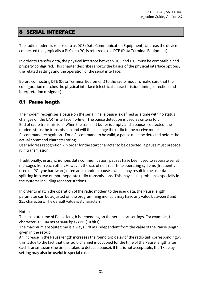#### **8 SERIAL INTERFACE**

The radio modem is referred to as DCE (Data Communication Equipment) whereas the device connected to it, typically a PLC or a PC, is referred to as DTE (Data Terminal Equipment).

In order to transfer data, the physical interface between DCE and DTE must be compatible and properly configured. This chapter describes shortly the basics of the physical interface options, the related settings and the operation of the serial interface.

Before connecting DTE (Data Terminal Equipment) to the radio modem, make sure that the configuration matches the physical interface (electrical characteristics, timing, direction and interpretation of signals).

#### **8.1 Pause length**

The modem recognises a pause on the serial line (a pause is defined as a time with no status changes on the UART interface TD-line). The pause detection is used as criteria for: End of radio transmission - When the transmit buffer is empty and a pause is detected, the modem stops the transmission and will then change the radio to the receive mode. SL command recognition - For a SL command to be valid, a pause must be detected before the actual command character string.

User address recognition - In order for the start character to be detected, a pause must precede it in transmission.

Traditionally, in asynchronous data communication, pauses have been used to separate serial messages from each other. However, the use of non-real-time operating systems (frequently used on PC-type hardware) often adds random pauses, which may result in the user data splitting into two or more separate radio transmissions. This may cause problems especially in the systems including repeater stations.

In order to match the operation of the radio modem to the user data, the Pause length parameter can be adjusted on the programming menu. It may have any value between 3 and 255 characters. The default value is 3 characters.

Notes:

The absolute time of Pause length is depending on the serial port settings. For example, 1 character is ~1.04 ms at 9600 bps / 8N1 (10 bits).

The maximum absolute time is always 170 ms independent from the value of the Pause length given in the set-up.

An increase in the Pause length increases the round trip delay of the radio link correspondingly; this is due to the fact that the radio channel is occupied for the time of the Pause length after each transmission (the time it takes to detect a pause). If this is not acceptable, the TX delay setting may also be useful in special cases.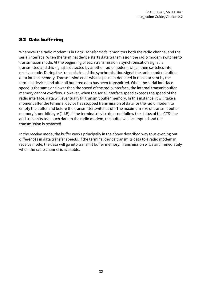#### **8.2 Data buffering**

Whenever the radio modem is in *Data Transfer Mode* it monitors both the radio channel and the serial interface. When the terminal device starts data transmission the radio modem switches to transmission mode. At the beginning of each transmission a synchronisation signal is transmitted and this signal is detected by another radio modem, which then switches into receive mode. During the transmission of the synchronisation signal the radio modem buffers data into its memory. Transmission ends when a pause is detected in the data sent by the terminal device, and after all buffered data has been transmitted. When the serial interface speed is the same or slower than the speed of the radio interface, the internal transmit buffer memory cannot overflow. However, when the serial interface speed exceeds the speed of the radio interface, data will eventually fill transmit buffer memory. In this instance, it will take a moment after the terminal device has stopped transmission of data for the radio modem to empty the buffer and before the transmitter switches off. The maximum size of transmit buffer memory is one kilobyte (1 kB). If the terminal device does not follow the status of the CTS-line and transmits too much data to the radio modem, the buffer will be emptied and the transmission is restarted.

In the receive mode, the buffer works principally in the above described way thus evening out differences in data transfer speeds. If the terminal device transmits data to a radio modem in receive mode, the data will go into transmit buffer memory. Transmission will start immediately when the radio channel is available.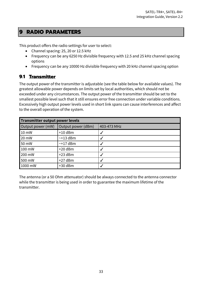#### **9 RADIO PARAMETERS**

This product offers the radio settings for user to select:

- Channel spacing: 25, 20 or 12.5 kHz
- Frequency can be any 6250 Hz divisible frequency with 12.5 and 25 kHz channel spacing options
- Frequency can be any 10000 Hz divisible frequency with 20 kHz channel spacing option

#### **9.1 Transmitter**

The output power of the transmitter is adjustable (see the table below for available values). The greatest allowable power depends on limits set by local authorities, which should not be exceeded under any circumstances. The output power of the transmitter should be set to the smallest possible level such that it still ensures error free connection under variable conditions. Excessively high output power levels used in short link spans can cause interferences and affect to the overall operation of the system.

| Transmitter output power levels |                    |             |  |  |
|---------------------------------|--------------------|-------------|--|--|
| Output power (mW)               | Output power (dBm) | 403-473 MHz |  |  |
| 10 mW                           | $+10$ dBm          |             |  |  |
| 20 mW                           | $~13$ dBm          |             |  |  |
| 50 mW                           | $~17$ dBm          |             |  |  |
| 100 mW                          | $+20$ dBm          |             |  |  |
| 200 mW                          | $+23$ dBm          |             |  |  |
| 500 mW                          | $+27$ dBm          |             |  |  |
| 1000 mW                         | $+30$ dBm          |             |  |  |

The antenna (or a 50 Ohm attenuator) should be always connected to the antenna connector while the transmitter is being used in order to guarantee the maximum lifetime of the transmitter.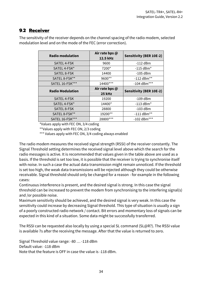#### **9.2 Receiver**

| <b>Radio modulation</b> | Air rate bps @<br>12.5 kHz | <b>Sensitivity (BER 10E-2)</b> |
|-------------------------|----------------------------|--------------------------------|
| SATEL 4-FSK             | 9600                       | $-112$ dBm                     |
| SATEL 4-FSK*            | 7200*                      | $-115$ dBm*                    |
| SATEL 8-FSK             | 14400                      | $-105$ dBm                     |
| SATEL 8-FSK**           | 9600**                     | $-112$ dBm**                   |
| SATEL 16-FSK***         | 14400***                   | -104 dBm***                    |
| <b>Radio Modulation</b> | Air rate bps @<br>25 kHz   | <b>Sensitivity (BER 10E-2)</b> |
| SATEL 4-FSK             | 19200                      | $-109$ dBm                     |
| SATEL 4-FSK*            | 14400*                     | $-113$ dBm*                    |
| SATEL 8-FSK             | 28800                      | $-103$ dBm                     |
| SATEL 8-FSK**           |                            | $-111$ dBm**                   |
|                         | 19200**                    |                                |

The sensitivity of the receiver depends on the channel spacing of the radio modem, selected modulation level and on the mode of the FEC (error correction).

\*Values apply with FEC ON, 3/4 coding

\*\*Values apply with FEC ON, 2/3 coding

\*\*\* Values apply with FEC ON, 3/4 coding always enabled

The radio modem measures the received signal strength (RSSI) of the receiver constantly. The Signal Threshold setting determines the received signal level above which the search for the radio messages is active. It is recommended that values given in the table above are used as a basis. If the threshold is set too low, it is possible that the receiver is trying to synchronise itself with noise. In such a case the actual data transmission might remain unnoticed. If the threshold is set too high, the weak data transmissions will be rejected although they could be otherwise receivable. Signal threshold should only be changed for a reason - for example in the following cases:

Continuous interference is present, and the desired signal is strong. In this case the signal threshold can be increased to prevent the modem from synchronising to the interfering signal(s) and /or possible noise.

Maximum sensitivity should be achieved, and the desired signal is very weak. In this case the sensitivity could increase by decreasing Signal threshold. This type of situation is usually a sign of a poorly constructed radio network / contact. Bit errors and momentary loss of signals can be expected in this kind of a situation. Some data might be successfully transferred.

The RSSI can be requested also locally by using a special SL command (SL@R?). The RSSI value is available 7s after the receiving the message. After that the value is returned to zero.

Signal Threshold value range: -80 … -118 dBm Default value: -118 dBm Note that the feature is OFF in case the value is -118 dBm.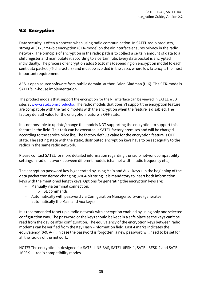## **9.3 Encryption**

Data security is often a concern when using radio communication. In SATEL radio products, strong AES128/256-bit encryption (CTR-mode) on the air interface ensures privacy in the radio network. The principle of encryption in the radio path is to collect a certain amount of data to a shift register and manipulate it according to a certain rule. Every data packet is encrypted individually. The process of encryption adds 5 to10 ms (depending on encryption mode) to each sent data packet (<5 characters) and must be avoided in the cases where low latency is the most important requirement.

AES is open source software from public domain. Author: Brian Gladman (U.K). The CTR-mode is SATEL's in-house implementation.

The product models that support the encryption for the RF interface can be viewed in SATEL WEB sites at [www.satel.com/products/.](http://www.satel.com/products/) The radio models that doesn't support the encryption feature are compatible with the radio models with the encryption when the feature is disabled. The factory default value for the encryption feature is OFF state.

It is not possible to update/change the models NOT supporting the encryption to support this feature in the field. This task can be executed is SATEL factory premises and will be charged according to the service price list. The factory default value for the encryption feature is OFF state. The setting state with the static, distributed encryption keys have to be set equally to the radios in the same radio network.

Please contact SATEL for more detailed information regarding the radio network compatibility settings in radio network between different models (channel width, radio frequency etc.).

The encryption password key is generated by using Main and Aux –keys + in the beginning of the data packet transferred changing 32/64-bit string. It is mandatory to insert both information keys with the mentioned length keys. Options for generating the encryption keys are:

- Manually via terminal connection:
	- o SL commands
- Automatically with password via Configuration Manager software (generates automatically the Main and Aux keys)

It is recommended to set up a radio network with encryption enabled by using only one selected configuration way. The password or the keys should be kept in a safe place as the keys can't be read from the device after configuration. The equivalency of the encryption keys between radio modems can be verified from the Key Hash –information field. Last 4 marks indicates the equivalency [0-9, A-F]. In case the password is forgotten, a new password will need to be set for all the radios of the network.

NOTE! The encryption is designed for SATELLINE-3AS, SATEL-8FSK-1, SATEL-8FSK-2 and SATEL-16FSK-1 –radio compatibility modes.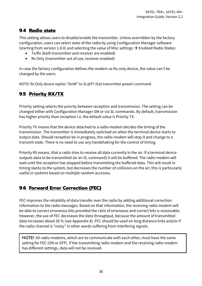#### **9.4 Radio state**

This setting allows users to disable/enable the transmitter. Unless overridden by the factory configuration, users can select state of the radio by using Configuration Manager software (starting from version 1.8.0) and selecting the value of Misc settings  $\rightarrow$  Enabled Radio States:

- Tx/Rx (both transmitter and receiver are enabled)
- Rx Only (transmitter out of use, receiver enabled)

In case the factory configuration defines the modem as Rx-only device, the value can't be changed by the users.

NOTE! Rx Only device replies "0mW" to SL@P? (Get transmitter power) command

# **9.5 Priority RX/TX**

Priority setting selects the priority between reception and transmission. The setting can be changed either with Configuration Manager SW or via SL commands. By default, transmission has higher priority than reception i.e. the default value is Priority TX.

Priority TX means that the device attached to a radio modem decides the timing of the transmission. The transmitter is immediately switched on when the terminal device starts to output data. Should reception be in progress, the radio modem will stop it and change to a transmit state. There is no need to use any handshaking for the control of timing.

Priority RX means, that a radio tries to receive all data currently in the air. If a terminal device outputs data to be transmitted (or an SL command) it will be buffered. The radio modem will wait until the reception has stopped before transmitting the buffered data. This will result in timing slacks to the system, but decreases the number of collisions on the air; this is particularly useful in systems based on multiple random accesses.

#### **9.6 Forward Error Correction (FEC)**

FEC improves the reliability of data transfer over the radio by adding additional correction information to the radio messages. Based on that information, the receiving radio modem will be able to correct erroneous bits provided the ratio of erroneous and correct bits is reasonable. However, the use of FEC decreases the data throughput, because the amount of transmitted data increases about 30 % (see Appendix A). FEC should be used on long distance links and/or if the radio channel is "noisy" in other words suffering from interfering signals.

NOTE! All radio modems, which are to communicate with each other, must have the same setting for FEC (ON or OFF). If the transmitting radio modem and the receiving radio modem has different settings, data will not be received.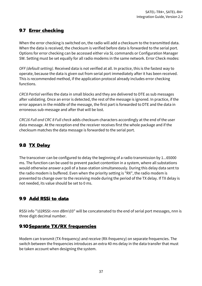#### **9.7 Error checking**

When the error checking is switched on, the radio will add a checksum to the transmitted data. When the data is received, the checksum is verified before data is forwarded to the serial port. Options for error checking can be accessed either via SL commands or Configuration Manager SW. Setting must be set equally for all radio modems in the same network. Error Check modes:

*OFF (default setting).* Received data is not verified at all. In practice, this is the fastest way to operate, because the data is given out from serial port immediately after it has been received. This is recommended method, if the application protocol already includes error checking functions.

*CRC8 Partial* verifies the data in small blocks and they are delivered to DTE as sub messages after validating. Once an error is detected, the rest of the message is ignored. In practice, if the error appears in the middle of the message, the first part is forwarded to DTE and the data in erroneous sub-message and after that will be lost.

*CRC16 Full and CRC 8 Full check* adds checksum characters accordingly at the end of the user data message. At the reception end the receiver receives first the whole package and if the checksum matches the data message is forwarded to the serial port.

# **9.8 TX Delay**

The transceiver can be configured to delay the beginning of a radio transmission by 1...65000 ms. The function can be used to prevent packet contention in a system, where all substations would otherwise answer a poll of a base-station simultaneously. During this delay data sent to the radio modem is buffered. Even when the priority setting is "RX", the radio modem is prevented to change over to the receiving mode during the period of the TX delay. If TX delay is not needed, its value should be set to 0 ms.

# **9.9 Add RSSi to data**

RSSI info "\02RSSI:-nnn dBm\03" will be concatenated to the end of serial port messages, nnn is three digit decimal number.

#### **9.10Separate TX/RX frequencies**

Modem can transmit (TX-frequency) and receive (RX-frequency) on separate frequencies. The switch between the frequencies introduces an extra 40 ms delay in the data transfer that must be taken account when designing the system.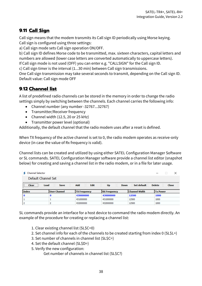#### **9.11 Call Sign**

Call sign means that the modem transmits its Call sign ID periodically using Morse keying. Call sign is configured using three settings:

a) Call sign mode sets Call sign operation ON/OFF.

b) Call sign ID defines Morse code to be transmitted, max. sixteen characters, capital letters and numbers are allowed (lower case letters are converted automatically to uppercase letters).

If Call sign mode is not used (OFF) you can enter e.g. "CALLSIGN" for the Call sign ID.

c) Call sign timer is the interval (1...30 min) between Call sign transmissions.

One Call sign transmission may take several seconds to transmit, depending on the Call sign ID. Default value: Call sign mode OFF

#### **9.12 Channel list**

A list of predefined radio channels can be stored in the memory in order to change the radio settings simply by switching between the channels. Each channel carries the following info:

- Channel number (any number -32767...32767)
- Transmitter/Receiver frequency
- Channel width (12.5, 20 or 25 kHz)
- Transmitter power level (optional)

Additionally, the default channel that the radio modem uses after a reset is defined.

When TX frequency of the active channel is set to 0, the radio modem operates as receive-only device (in case the value of Rx frequency is valid).

Channel lists can be created and utilized by using either SATEL Configuration Manager Software or SL commands. SATEL Configuration Manager software provide a channel list editor (snapshot below) for creating and saving a channel list in the radio modem, or in a file for later usage.

| <b>Channel Selector</b> |                |                     |                     |                      | ×                      |
|-------------------------|----------------|---------------------|---------------------|----------------------|------------------------|
| Default Channel Set     |                |                     |                     |                      |                        |
| <br>Load<br>Clear<br>   | <b>Save</b>    | <b>Edit</b><br>Add  | Up<br><b>Down</b>   | <b>Set default</b>   | <b>Delete</b><br>Close |
|                         |                |                     |                     |                      |                        |
| Index                   | l User Channel | <b>TX Frequency</b> | <b>RX Frequency</b> | <b>Channel Width</b> | <b>Tx Power</b>        |
| <b>0</b>                | 0              | 430000000           | 430000000           | 12500                | 1000                   |
|                         |                | 431000000           | 431000000           | 12500                | 1000                   |

SL commands provide an interface for a host device to command the radio modem directly. An example of the procedure for creating or replacing a channel list:

- 1. Clear existing channel list (SL\$C=0)
- 2. Set channel info for each of the channels to be created starting from index 0 (SL\$L=)
- 3. Set number of channels in channel list (SL\$C=)
- 4. Set the default channel (SL\$D=)
- 5. Verify the new configuration:

Get number of channels in channel list (SL\$C?)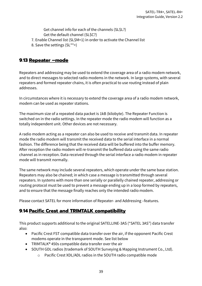Get channel info for each of the channels (SL\$L?) Get the default channel (SL\$C?)

- 7. Enable Channel list (SL\$M=1) in order to activate the Channel list
- 8. Save the settings (SL\*\*>)

#### **9.13 Repeater –mode**

Repeaters and addressing may be used to extend the coverage area of a radio modem network, and to direct messages to selected radio modems in the network. In large systems, with several repeaters and formed repeater chains, it is often practical to use routing instead of plain addresses.

In circumstances where it is necessary to extend the coverage area of a radio modem network, modem can be used as repeater stations.

The maximum size of a repeated data packet is 1kB (kilobyte). The Repeater Function is switched on in the radio settings. In the repeater mode the radio modem will function as a totally independent unit. Other devices are not necessary.

A radio modem acting as a repeater can also be used to receive and transmit data. In repeater mode the radio modem will transmit the received data to the serial interface in a normal fashion. The difference being that the received data will be buffered into the buffer memory. After reception the radio modem will re-transmit the buffered data using the same radio channel as in reception. Data received through the serial interface a radio modem in repeater mode will transmit normally.

The same network may include several repeaters, which operate under the same base station. Repeaters may also be chained; in which case a message is transmitted through several repeaters. In systems with more than one serially or parallelly chained repeater, addressing or routing protocol must be used to prevent a message ending up in a loop formed by repeaters, and to ensure that the message finally reaches only the intended radio modem.

Please contact SATEL for more information of Repeater- and Addressing –features.

#### **9.14 Pacific Crest and TRIMTALK compatibility**

This product supports additional to the original SATELLINE-3AS ("SATEL 3AS") data transfer also:

- Pacific Crest FST compatible data transfer over the air, if the opponent Pacific Crest modems operate in the transparent mode. See list below
- TRIMTALK® 450s compatible data transfer over the air
- SOUTH GDL radios (trademark of SOUTH Surveying & Mapping Instrument Co., Ltd).
	- o Pacific Crest XDL/ADL radios in the SOUTH radio compatible mode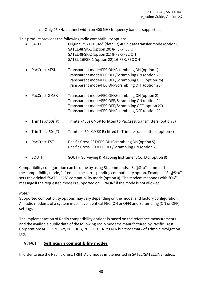o Only 25 kHz channel width on 400 MHz frequency band is supported.

This product provides the following radio compatibility options:

| <b>SATEL</b>    | Original "SATEL 3AS" (default) 4FSK data transfer mode (option 0)<br>SATEL-8FSK-1 (option 20) 8-FSK/FEC OFF<br>SATEL-8FSK-2 (option 21) 8-FSK/FEC ON<br>SATEL-16FSK-1 (option 22) 16-FSK/FEC ON                     |
|-----------------|---------------------------------------------------------------------------------------------------------------------------------------------------------------------------------------------------------------------|
| PacCrest-4FSK   | Transparent mode/FEC ON/Scrambling ON (option 1)<br>Transparent mode/FEC OFF/Scrambling ON (option 23)<br>Transparent mode/FEC OFF/Scrambling OFF (option 26)<br>Transparent mode/FEC ON/Scrambling OFF (option 28) |
| PacCrest-GMSK   | Transparent mode/FEC ON/Scrambling ON (option 2)<br>Transparent mode/FEC OFF/Scrambling ON (option 24)<br>Transparent mode/FEC OFF/Scrambling OFF (option 27)<br>Transparent mode/FEC ON/Scrambling OFF (option 29) |
| TrimTalk450s(P) | Trimtalk450s GMSK Rx fitted to PacCrest transmitters (option 3)                                                                                                                                                     |
| TrimTalk450s(T) | Trimtalk450s GMSK Rx fitted to Trimble transmitters (option 4)                                                                                                                                                      |
| PacCrest-FST    | Pacific Crest-FST/FEC ON/Scrambling ON (option 5)<br>Pacific Crest-FST/FEC OFF/Scrambling ON (option 25)                                                                                                            |

• SOUTH SOUTH Surveying & Mapping Instrument Co. Ltd (option 8)

Compatibility configuration can be done by using SL commands. "SL@S=x" command selects the compatibility mode, "x" equals the corresponding compatibility option. Example: "SL@S=0" sets the original "SATEL 3AS" compatibility mode (option 0). The modem responds with "OK" message if the requested mode is supported or "ERROR" if the mode is not allowed.

#### *Notes:*

Supported compatibility options may vary depending on the model and factory configuration. All radio modems of a system must have identical FEC (ON or OFF) and Scrambling (ON or OFF) settings.

The implementation of Radio compatibility options is based on the reference measurements and the available public data of the following radio modems manufactured by Pacific Crest Corporation: ADL, RFM96W, PDL HPB, PDL LPB. TRIMTALK is a trademark of Trimble Navigation Ltd.

#### **9.14.1 Settings in compatibility modes**

In order to use the Pacific Crest/TRIMTALK modes implemented in SATEL/SATELLINE radios: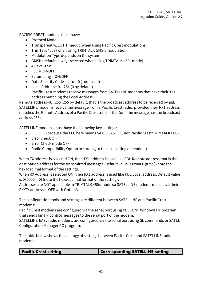PACIFIC CREST modems must have:

- Protocol Mode
- Transparent w/EOT Timeout (when using Pacific Crest modulations)
- TrimTalk 450s (when using TRIMTALK GMSK modulation)
- Modulation Type depends on the system
- GMSK (default, always selected when using TRIMTALK 450s mode)
- 4-Level-FSK
- FEC = ON/OFF
- Scrambling = ON/OFF
- Data Security Code set to  $= 0$  (=not used)
- Local Address= 0…254 (0 by default) Pacific Crest modems receive messages from SATELLINE modems that have their TX1 address matching the Local Address.

Remote address=0…255 (255 by default, that is the broadcast address to be received by all). SATELLINE modems receive the message from a Pacific Crest radio, provided their RX1 address matches the Remote Address of a Pacific Crest transmitter (or if the message has the broadcast address 255).

SATELLINE modems must have the following key settings:

- FEC OFF (because the FEC here means SATEL 3AS FEC, not Pacific Crest/TRIMTALK FEC)
- Error check OFF
- Error Check mode OFF
- Radio Compatibility Option according to the list (setting dependent)

When TX address is selected ON, then TX1 address is used like PDL Remote address that is the destination address for the transmitted messages. Default value is 0x00FF (=255) (note the hexadecimal format of the setting).

When RX Address is selected ON, then RX1 address is used like PDL Local address. Default value is 0x0000 (=0) (note the hexadecimal format of the setting).

Addresses are NOT applicable in TRIMTALK 450s mode so SATELLINE modems must have their RX/TX addresses OFF with Option3.

The configuration tools and settings are different between SATELLINE and Pacific Crest modems:

Pacific Crest modems are configured via the serial port using PDLCONF WindowsTM program that sends binary control messages to the serial port of the modem.

SATELLINE-EASy radio modems are configured via the serial port using SL commands or SATEL Configuration Manager PC-program.

The table below shows the analogy of settings between Pacific Crest and SATELLINE radio modems.

| <b>Pacific Crest setting</b> | <b>Corresponding SATELLINE setting</b> |
|------------------------------|----------------------------------------|
|                              |                                        |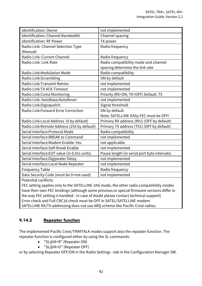| Identification: Owner                        | not implemented                              |
|----------------------------------------------|----------------------------------------------|
| Identification: Channel Bandwidth            | Channel spacing                              |
| Identification: RF Power                     | TX power                                     |
| Radio Link: Channel Selection Type           | Radio frequency                              |
| (Manual)                                     |                                              |
| Radio Link: Current Channel                  | Radio frequency                              |
| Radio Link: Link Rate                        | Radio compatibility mode and channel         |
|                                              | spacing determine the link rate              |
| Radio Link: Modulation Mode                  | Radio compatibility                          |
| Radio Link:Scrambling                        | ON by default                                |
| Radio Link: Transmit Retries                 | not implemented                              |
| Radio Link: TX ACK Timeout                   | not implemented                              |
| Radio Link: Csma Monitoring                  | Priority (RX=ON, TX=OFF) Default: TX         |
| Radio Link: AutoBase/AutoRover               | not implemented                              |
| Radio Link: Digisquelch                      | Signal threshold                             |
| Radio Link: Forward Error Correction         | ON by default                                |
|                                              | Note: SATELLINE-EASy FEC must be OFF!        |
| Radio Link: Local Address (0 by default)     | Primary RX address (RX1) (OFF by default)    |
| Radio Link: Remote Address (255 by default)  | Primary TX address (TX1) (OFF by default)    |
| Serial Interface: Protocol Mode              | Radio compatibility                          |
| Serial Interface: BREAK to Command           | not implemented                              |
| Serial Interface: Modem Enable: Yes          | not applicable                               |
| Serial Interface: Soft Break Enable          | not implemented                              |
| Serial Interface: EOT value (in 0.01s units) | Pause length (in serial port byte intervals) |
| Serial Interface: Digipeater Delay           | not implemented                              |
| Serial Interface: Local Node Repeater        | not implemented                              |
| <b>Frequency Table</b>                       | Radio frequency                              |
| Data Security Code (must be 0=not used)      | not implemented                              |
| <b>Potential conflicts:</b>                  |                                              |

FEC setting applies only to the SATELLINE-3AS mode, the other radio compatibility modes have their own FEC bindings (although some previous or special firmware versions differ in the way FEC setting is handled - in case of doubt please contact technical support) Error check and Full CRC16 check must be OFF in SATEL/SATELLINE modem SATELLINE RX/TX addressing does not use ARQ scheme like Pacific Crest radios.

#### **9.14.2 Repeater function**

The implemented Pacific Crest/TRIMTALK modes support also the repeater function. The repeater function is configured either by using the SL commands:

- "SL@M=R" (Repeater ON)
- "SL@M=O" (Repeater OFF)

or by selecting Repeater OFF/ON in the Radio Settings –tab in the Configuration Manager SW.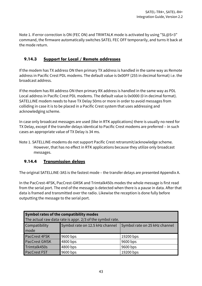Note 1. If error correction is ON (FEC ON) and TRIMTALK mode is activated by using "SL@S=3" command, the firmware automatically switches SATEL FEC OFF temporarily, and turns it back at the mode return.

#### **9.14.3 Support for Local / Remote addresses**

If the modem has TX address ON then primary TX address is handled in the same way as Remote address in Pacific Crest PDL modems. The default value is 0x00FF (255 in decimal format) i.e. the broadcast address.

If the modem has RX address ON then primary RX address is handled in the same way as PDL Local address in Pacific Crest PDL modems. The default value is 0x0000 (0 in decimal format). SATELLINE modem needs to have TX Delay 50ms or more in order to avoid messages from colliding in case it is to be placed in a Pacific Crest system that uses addressing and acknowledging scheme.

In case only broadcast messages are used (like in RTK applications) there is usually no need for TX Delay, except if the transfer delays identical to Pacific Crest modems are preferred – in such cases an appropriate value of TX Delay is 34 ms.

Note 1. SATELLINE-modems do not support Pacific Crest retransmit/acknowledge scheme. However, that has no effect in RTK applications because they utilize only broadcast messages.

#### **9.14.4 Transmission delays**

The original SATELLINE-3AS is the fastest mode – the transfer delays are presented Appendix A.

In the PacCrest-4FSK, PacCrest-GMSK and Trimtalk450s modes the whole message is first read from the serial port. The end of the message is detected when there is a pause in data. After that data is framed and transmitted over the radio. Likewise the reception is done fully before outputting the message to the serial port.

| <b>Symbol rates of the compatibility modes</b><br>The actual raw data rate is appr. 2/3 of the symbol rate. |          |           |  |  |  |  |
|-------------------------------------------------------------------------------------------------------------|----------|-----------|--|--|--|--|
| Symbol rate on 12.5 kHz channel<br>Compatibility<br>Symbol rate on 25 kHz channel<br>mode                   |          |           |  |  |  |  |
| PacCrest 4FSK                                                                                               | 9600 bps | 19200 bps |  |  |  |  |
| <b>PacCrest GMSK</b>                                                                                        | 4800 bps | 9600 bps  |  |  |  |  |
| Trimtalk450s                                                                                                | 4800 bps | 9600 bps  |  |  |  |  |
| <b>PacCrest FST</b>                                                                                         | 9600 bps | 19200 bps |  |  |  |  |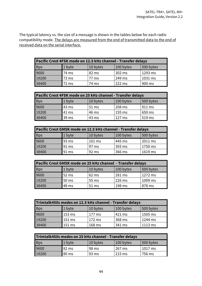The typical latency vs. the size of a message is shown in the tables below for each radio compatibility mode. The delays are measured from the end of transmitted data to the end of received data on the serial interface.

| Pacific Crest 4FSK mode on 12.5 kHz channel - Transfer delays |        |          |           |           |  |  |
|---------------------------------------------------------------|--------|----------|-----------|-----------|--|--|
| <b>Bps</b>                                                    | 1 byte | 10 bytes | 100 bytes | 500 bytes |  |  |
| 9600                                                          | 74 ms  | 82 ms    | 302 ms    | 1293 ms   |  |  |
| 19200                                                         | 73 ms  | 77 ms    | 249 ms    | 1031 ms   |  |  |
| 38400                                                         | 72 ms  | 74 ms    | 222 ms    | 900 ms    |  |  |

| Pacific Crest 4FSK mode on 25 kHz channel - Transfer delays |        |          |           |           |  |  |
|-------------------------------------------------------------|--------|----------|-----------|-----------|--|--|
| <b>Bps</b>                                                  | 1 byte | 10 bytes | 100 bytes | 500 bytes |  |  |
| 9600                                                        | 43 ms  | 51 ms    | 208 ms    | 911 ms    |  |  |
| 19200                                                       | 41 ms  | 46 ms    | 155 ms    | 650 ms    |  |  |
| 38400                                                       | 39 ms  | 43 ms    | 127 ms    | 519 ms    |  |  |

| Pacific Crest GMSK mode on 12.5 kHz channel - Transfer delays |        |          |           |           |  |  |
|---------------------------------------------------------------|--------|----------|-----------|-----------|--|--|
| <b>Bps</b>                                                    | 1 byte | 10 bytes | 100 bytes | 500 bytes |  |  |
| 9600                                                          | 93 ms  | 101 ms   | 445 ms    | 2011 ms   |  |  |
| 19200                                                         | 91 ms  | 97 ms    | 393 ms    | 1750 ms   |  |  |
| 38400                                                         | 91 ms  | 92 ms    | 366 ms    | 1619 ms   |  |  |

| Pacific Crest GMSK mode on 25 kHz channel - Transfer delays |        |          |           |           |  |  |
|-------------------------------------------------------------|--------|----------|-----------|-----------|--|--|
| <b>Bps</b>                                                  | 1 byte | 10 bytes | 100 bytes | 500 bytes |  |  |
| 9600                                                        | 52 ms  | $62$ ms  | 281 ms    | $1272$ ms |  |  |
| 19200                                                       | 50 ms  | 55 ms    | 226 ms    | 1009 ms   |  |  |
| 38400                                                       | 48 ms  | 51 ms    | 198 ms    | 878 ms    |  |  |

| Trimtalk450s modes on 12.5 kHz channel - Transfer delays |                  |          |           |           |  |  |
|----------------------------------------------------------|------------------|----------|-----------|-----------|--|--|
| <b>Bps</b>                                               | 1 byte           | 10 bytes | 100 bytes | 500 bytes |  |  |
| 9600                                                     | 153 ms           | l 177 ms | 421 ms    | 1505 ms   |  |  |
| 19200                                                    | 151 ms           | l 172 ms | 368 ms    | 1244 ms   |  |  |
| 38400                                                    | $151 \text{ ms}$ | 168 ms   | 341 ms    | 1113 ms   |  |  |

| Trimtalk450s modes on 25 kHz channel - Transfer delays |        |          |           |           |  |  |
|--------------------------------------------------------|--------|----------|-----------|-----------|--|--|
| <b>Bps</b>                                             | 1 byte | 10 bytes | 100 bytes | 500 bytes |  |  |
| 9600                                                   | 82 ms  | 98 ms    | 267 ms    | $1017$ ms |  |  |
| 19200                                                  | 80 ms  | 93 ms    | $215$ ms  | 756 ms    |  |  |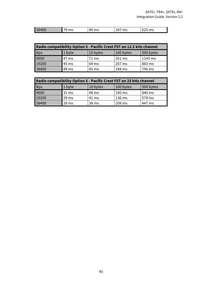| 38<br>$n - n$<br><b>IDD</b><br>$n - n$<br>$\sim$<br>. .<br><br>115<br>.<br>⊤∪∪<br>.<br>. |  |  |  |
|------------------------------------------------------------------------------------------|--|--|--|
|                                                                                          |  |  |  |

| Radio compatibility Option 5 - Pacific Crest FST on 12.5 kHz channel |        |          |           |           |  |  |
|----------------------------------------------------------------------|--------|----------|-----------|-----------|--|--|
| <b>Bps</b>                                                           | 1 byte | 10 bytes | 100 bytes | 500 bytes |  |  |
| 9600                                                                 | 47 ms  | 71 ms    | 261 ms    | 1145 ms   |  |  |
| 19200                                                                | 45 ms  | 64 ms    | 207 ms    | 883 ms    |  |  |
| 38400                                                                | 48 ms  | 65 ms    | 184 ms    | 756 ms    |  |  |

| Radio compatibility Option 5 - Pacific Crest FST on 25 kHz channel |                  |          |           |           |
|--------------------------------------------------------------------|------------------|----------|-----------|-----------|
| <b>Bps</b>                                                         | 1 byte           | 10 bytes | 100 bytes | 500 bytes |
| 9600                                                               | 31 <sub>ms</sub> | 48 ms    | 190 ms    | 840 ms    |
| 19200                                                              | 29 <sub>ms</sub> | 41 ms    | 136 ms    | 578 ms    |
| 38400                                                              | 28 <sub>ms</sub> | 38 ms    | 109 ms    | 447 ms    |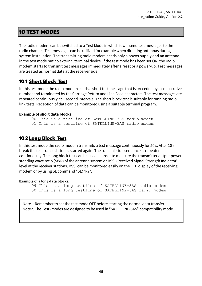#### **10 TEST MODES**

The radio modem can be switched to a Test Mode in which it will send test messages to the radio channel. Test messages can be utilized for example when directing antennas during system installation. The transmitting radio modem needs only a power supply and an antenna in the test mode but no external terminal device. If the test mode has been set ON, the radio modem starts to transmit test messages immediately after a reset or a power-up. Test messages are treated as normal data at the receiver side.

#### **10.1 Short Block Test**

In this test mode the radio modem sends a short test message that is preceded by a consecutive number and terminated by the Carriage Return and Line Feed characters. The test messages are repeated continuously at 1 second intervals. The short block test is suitable for running radio link tests. Reception of data can be monitored using a suitable terminal program.

#### **Example of short data blocks:**

00 This is a testline of SATELLINE-3AS radio modem 01 This is a testline of SATELLINE-3AS radio modem

#### **10.2 Long Block Test**

In this test mode the radio modem transmits a test message continuously for 50 s. After 10 s break the test transmission is started again. The transmission sequence is repeated continuously. The long block test can be used in order to measure the transmitter output power, standing wave ratio (SWR) of the antenna system or RSSI (Received Signal Strength Indicator) level at the receiver stations. RSSI can be monitored easily on the LCD display of the receiving modem or by using SL command "SL@R?".

#### **Example of a long data blocks:**

```
99 This is a long testline of SATELLINE-3AS radio modem
00 This is a long testline of SATELLINE-3AS radio modem
```
Note1. Remember to set the test mode OFF before starting the normal data transfer. Note2. The Test -modes are designed to be used in "SATELLINE-3AS" compatibility mode.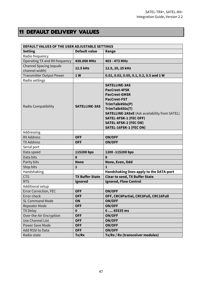# **11 DEFAULT DELIVERY VALUES**

| DEFAULT VALUES OF THE USER ADJUSTABLE SETTINGS   |                        |                                                                                                                                                                                                                                                                        |  |
|--------------------------------------------------|------------------------|------------------------------------------------------------------------------------------------------------------------------------------------------------------------------------------------------------------------------------------------------------------------|--|
| <b>Setting</b>                                   | <b>Default value</b>   | Range                                                                                                                                                                                                                                                                  |  |
| Radio frequency                                  |                        |                                                                                                                                                                                                                                                                        |  |
| Operating TX and RX frequency                    | 438.000 MHz            | 403 - 473 MHz                                                                                                                                                                                                                                                          |  |
| <b>Channel Spacing (equals</b><br>channel width) | 12.5 kHz               | 12.5, 20, 25 kHz                                                                                                                                                                                                                                                       |  |
| <b>Transmitter Output Power</b>                  | 1W                     | 0.01, 0.02, 0.05, 0.1, 0.2, 0.5 and 1 W                                                                                                                                                                                                                                |  |
| Radio settings                                   |                        |                                                                                                                                                                                                                                                                        |  |
| Radio Compatibility                              | <b>SATELLINE-3AS</b>   | <b>SATELLINE-3AS</b><br>PacCrest-4FSK<br><b>PacCrest-GMSK</b><br><b>PacCrest-FST</b><br>TrimTalk450s(P)<br>TrimTalk450s(T)<br><b>SATELLINE-2ASXE</b> (Ask availability from SATEL)<br>SATEL-8FSK-1 (FEC OFF)<br><b>SATEL-8FSK-2 (FEC ON)</b><br>SATEL-16FSK-1 (FEC ON) |  |
| Addressing                                       |                        |                                                                                                                                                                                                                                                                        |  |
| <b>RX Address</b>                                | <b>OFF</b>             | <b>ON/OFF</b>                                                                                                                                                                                                                                                          |  |
| <b>TX Address</b>                                | <b>OFF</b>             | <b>ON/OFF</b>                                                                                                                                                                                                                                                          |  |
| Serial port                                      |                        |                                                                                                                                                                                                                                                                        |  |
| Data speed                                       | 115200 bps             | 1200-115200 bps                                                                                                                                                                                                                                                        |  |
| Data bits                                        | 8                      | 8                                                                                                                                                                                                                                                                      |  |
| Parity bits                                      | <b>None</b>            | None, Even, Odd                                                                                                                                                                                                                                                        |  |
| Stop bits                                        | $\mathbf{1}$           | $\mathbf{1}$                                                                                                                                                                                                                                                           |  |
| Handshaking                                      |                        | Handshaking lines apply to the DATA-port                                                                                                                                                                                                                               |  |
| <b>CTS</b>                                       | <b>TX Buffer State</b> | <b>Clear to send, TX Buffer State</b>                                                                                                                                                                                                                                  |  |
| <b>RTS</b>                                       | Ignored                | <b>Ignored, Flow Control</b>                                                                                                                                                                                                                                           |  |
| Additional setup                                 |                        |                                                                                                                                                                                                                                                                        |  |
| <b>Error Correction, FEC</b>                     | <b>OFF</b>             | <b>ON/OFF</b>                                                                                                                                                                                                                                                          |  |
| Error check                                      | <b>OFF</b>             | OFF, CRC8Partial, CRC8Full, CRC16Full                                                                                                                                                                                                                                  |  |
| <b>SL Command Mode</b>                           | <b>ON</b>              | <b>ON/OFF</b>                                                                                                                                                                                                                                                          |  |
| <b>Repeater Mode</b>                             | <b>OFF</b>             | <b>ON/OFF</b>                                                                                                                                                                                                                                                          |  |
| <b>TX Delay</b>                                  | $\mathbf 0$            | $065535$ ms                                                                                                                                                                                                                                                            |  |
| Over-the-Air-Encryption                          | <b>OFF</b>             | <b>ON/OFF</b>                                                                                                                                                                                                                                                          |  |
| Use Channel List                                 | <b>OFF</b>             | <b>ON/OFF</b>                                                                                                                                                                                                                                                          |  |
| <b>Power Save Mode</b>                           | <b>OFF</b>             | <b>ON/OFF</b>                                                                                                                                                                                                                                                          |  |
| Add RSSI to Data                                 | <b>OFF</b>             | <b>ON/OFF</b>                                                                                                                                                                                                                                                          |  |
| Radio state                                      | Tx/Rx                  | Tx/Rx / Rx (transceiver modules)                                                                                                                                                                                                                                       |  |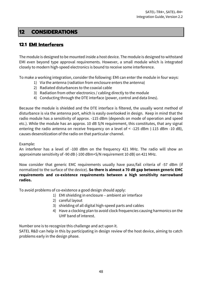#### **12 CONSIDERATIONS**

#### **12.1 EMI Interferers**

The module is designed to be mounted inside a host device. The module is designed to withstand EMI even beyond type approval requirements. However, a small module which is integrated closely to modern high-speed electronics is bound to receive some interference.

To make a working integration, consider the following: EMI can enter the module in four ways:

- 1) Via the antenna (radiation from enclosure enters the antenna)
- 2) Radiated disturbances to the coaxial cable
- 3) Radiation from other electronics / cabling directly to the module
- 4) Conducting through the DTE interface (power, control and data lines).

Because the module is shielded and the DTE interface is filtered, the usually worst method of disturbance is via the antenna port, which is easily overlooked in design. Keep in mind that the radio module has a sensitivity of approx. -115 dBm (depends on mode of operation and speed etc.). While the module has an approx. 10 dB S/N requirement, this constitutes, that any signal entering the radio antenna on receive frequency on a level of < -125 dBm (-115 dBm -10 dB), causes desensitization of the radio on that particular channel.

#### Example:

An interferer has a level of -100 dBm on the frequency 421 MHz. The radio will show an approximate sensitivity of -90 dB (-100 dBm+S/N requirement 10 dB) on 421 MHz.

Now consider that generic EMC requirements usually have pass/fail criteria of -57 dBm (if normalized to the surface of the device). **So there is almost a 70 dB gap between generic EMC requirements and co-existence requirements between a high sensitivity narrowband radios.**

To avoid problems of co-existence a good design should apply:

- 1) EMI shielding in enclosure ambient air interface
- 2) careful layout
- 3) shielding of all digital high-speed parts and cables
- 4) Have a clocking plan to avoid clock frequencies causing harmonics on the UHF band of interest.

Number one is to recognize this challenge and act upon it.

SATEL R&D can help in this by participating in design review of the host device, aiming to catch problems early in the design phase.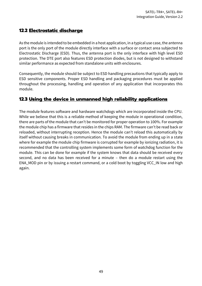#### **12.2 Electrostatic discharge**

As the module is intended to be embedded in a host application, in a typical use case, the antenna port is the only port of the module directly interface with a surface or contact area subjected to Electrostatic Discharge (ESD). Thus, the antenna port is the only interface with high level ESD protection. The DTE port also features ESD protection diodes, but is not designed to withstand similar performance as expected from standalone units with enclosures.

Consequently, the module should be subject to ESD handling precautions that typically apply to ESD sensitive components. Proper ESD handling and packaging procedures must be applied throughout the processing, handling and operation of any application that incorporates this module.

#### **12.3 Using the device in unmanned high reliability applications**

The module features software and hardware watchdogs which are incorporated inside the CPU. While we believe that this is a reliable method of keeping the module in operational condition, there are parts of the module that can't be monitored for proper operation to 100%. For example the module chip has a firmware that resides in the chips RAM. The firmware can't be read back or reloaded, without interrupting reception. Hence the module can't reload this automatically by itself without causing breaks in communication. To avoid the module from ending up in a state where for example the module chip firmware is corrupted for example by ionizing radiation, it is recommended that the controlling system implements some form of watchdog function for the module. This can be done for example if the system knows that data should be received every second, and no data has been received for a minute – then do a module restart using the ENA\_MOD pin or by issuing a restart command, or a cold boot by toggling VCC\_IN low and high again.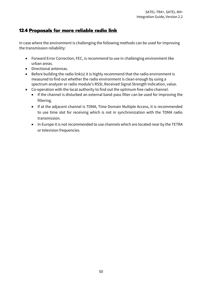#### **12.4 Proposals for more reliable radio link**

In case where the environment is challenging the following methods can be used for improving the transmission reliability:

- Forward Error Correction, FEC, is recommend to use in challenging environment like urban areas.
- Directional antennas.
- Before building the radio link(s) it is highly recommend that the radio environment is measured to find out whether the radio environment is clean enough by using a spectrum analyzer or radio module's RSSI, Received Signal Strength Indication, value.
- Co-operation with the local authority to find out the optimum free radio channel.
	- If the channel is disturbed an external band-pass filter can be used for improving the filtering.
	- If at the adjacent channel is TDMA, Time Domain Multiple Access, it is recommended to use time slot for receiving which is not in synchronization with the TDMA radio transmission.
	- In Europe it is not recommended to use channels which are located near by the TETRA or television frequencies.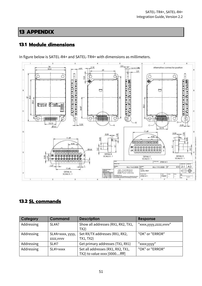# **13 APPENDIX**

# **13.1 Module dimensions**

In figure below is SATEL-R4+ and SATEL-TR4+ with dimensions as millimeters.



#### **13.2 SL commands**

| Category   | <b>Command</b>                 | <b>Description</b>                                                 | Response              |
|------------|--------------------------------|--------------------------------------------------------------------|-----------------------|
| Addressing | $SL#A$ ?                       | Show all addresses (RX1, RX2, TX1,<br>TX2)                         | "xxxx,yyyy,zzzz,vvvv" |
| Addressing | SL#A=xxxx, yyyy,<br>ZZZZ, VVVV | Set RX/TX addresses (RX1, RX2,<br>TX1, TX2)                        | "OK" or "ERROR"       |
| Addressing | SL#1?                          | Get primary addresses (TX1, RX1)                                   | "xxxx;yyyy"           |
| Addressing | $SLH$ = $xxxx$                 | Set all addresses (RX1, RX2, TX1,<br>TX2) to value xxxx [0000ffff] | "OK" or "ERROR"       |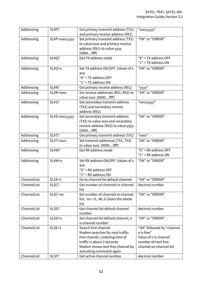| Addressing  | SL#P?          | Get primary transmit address (TX1)    | "xxxx;yyyy"               |
|-------------|----------------|---------------------------------------|---------------------------|
|             |                | and primary receive address (RX1)     |                           |
| Addressing  | SL#P=xxxx;yyyy | Set primary transmit address (TX1)    | "OK" or "ERROR"           |
|             |                | to value xxxx and primary receive     |                           |
|             |                | address (RX1) to value yyyy           |                           |
|             |                | $[0000$ ffff]                         |                           |
| Addressing  | SL#Q?          | Get TX address mode                   | "0" = TX address OFF      |
|             |                |                                       | $"1" = TX$ address ON     |
| Addressing  | $SL#Q=x$       | Set TX address ON/OFF. Values of x    | "OK" or "ERROR"           |
|             |                | are:                                  |                           |
|             |                | "0" = TX address OFF                  |                           |
|             |                | $"1" = TX$ address ON                 |                           |
| Addressing  | <b>SL#R?</b>   | Get primary receive address (RX1)     | "уууу"                    |
| Addressing  | SL#R=xxxx      | Set receive addresses (RX1, RX2) to   | "OK" or "ERROR"           |
|             |                | value xxxx [0000ffff]                 |                           |
| Addressing  | <b>SL#S?</b>   | Get secondary transmit address        | "xxxx;yyyy"               |
|             |                | (TX2) and secondary receive           |                           |
|             |                | address (RX2)                         |                           |
| Addressing  | SL#S=xxxx;yyyy | Set secondary transmit address        | "OK" or "ERROR"           |
|             |                | (TX2) to value xxxx and secondary     |                           |
|             |                | receive address (RX2) to value yyyy   |                           |
|             |                | $[0000$ ffff]                         |                           |
| Addressing  | <b>SL#T?</b>   | Get primary transmit address (TX1)    | "xxxx"                    |
| Addressing  | SL#T=xxxx      | Set transmit addresses (TX1, TX2)     | "OK" or "ERROR"           |
|             |                | to value xxxx [0000ffff]              |                           |
| Addressing  | <b>SL#W?</b>   | Get RX address mode                   | $"0" = RX address OFF$    |
|             |                |                                       | $"1" = RX address ON$     |
| Addressing  | SL#W=x         | Set RX address ON/OFF. Values of x    | "OK" or "ERROR"           |
|             |                | are:                                  |                           |
|             |                | $"0" = RX address OFF$                |                           |
|             |                | $"1" = RX address ON$                 |                           |
| ChannelList | $SL$A=1$       | Go to channel list default channel    | "OK" or "ERROR"           |
| ChannelList | SL\$C?         | Get number of channels in channel     | decimal number            |
|             |                | list                                  |                           |
| ChannelList | SL\$C=nn       | Set number of channels in channel     | "OK" or "ERROR"           |
|             |                | list. $nn = 040$ , 0 clears the whole |                           |
|             |                | list                                  |                           |
| ChannelList | SL\$D?         | Get channel list default channel      | decimal number            |
|             |                | number                                |                           |
| ChannelList | $SL$D=n$       | Set channel list default channel, n   | "OK" or "ERROR"           |
|             |                | is channel number                     |                           |
| ChannelList | $SLSE=1$       | Search free channel                   | "OK" followed by "channel |
|             |                | Modem searches for next traffic-      | n is free"                |
|             |                | free channel. Listening time of       | Value of n is channel     |
|             |                | traffic is about 2 seconds            | number of next free       |
|             |                | Modem shows next free channel by      | channel on channel list   |
|             |                | activating command again              |                           |
| ChannelList | SL\$F?         | Get active channel number             | decimal number            |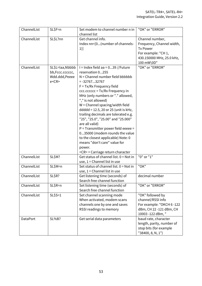| ChannelList     | SL\$F=n                                                        | Set modem to channel number n in<br>channel list                                                                                                                                                                                                                                                                                                                                                                                                                                                                                                                                                                               | "OK" or "ERROR"                                                                                                                   |
|-----------------|----------------------------------------------------------------|--------------------------------------------------------------------------------------------------------------------------------------------------------------------------------------------------------------------------------------------------------------------------------------------------------------------------------------------------------------------------------------------------------------------------------------------------------------------------------------------------------------------------------------------------------------------------------------------------------------------------------|-----------------------------------------------------------------------------------------------------------------------------------|
| ChannelList     | SL\$L?nn                                                       | Get channel info.<br>Index nn=[0(number of channels-<br>1)]                                                                                                                                                                                                                                                                                                                                                                                                                                                                                                                                                                    | Channel number,<br>Frequency, Channel width,<br><b>Tx Power</b><br>For example: "CH 1,<br>430.150000 MHz, 25.0 kHz,<br>100 mW\0D" |
| ChannelList     | SL\$L=laa,Nbbbb<br>bb,Fccc.cccccc,<br>Wdd.ddd, Peeee<br>e < CR | I = Index field aa = $039$ //Future<br>reservation 0255<br>$N =$ Channel number field bbbbbb<br>$= -3276732767$<br>$F = Tx/Rx$ Frequency field<br>ccc.cccccc = Tx/Rx Frequency in<br>MHz (only numbers or "." allowed,<br>"," is not allowed)<br>$W =$ Channel spacing/width field<br>ddddd = 12.5, 20 or 25 (unit is kHz,<br>trailing decimals are tolerated e.g.<br>"25", "25.0", "25.00" and "25.000"<br>are all valid)<br>$P =$ Transmitter power field eeeee =<br>035000 (modem rounds the value<br>to the closest applicable) Note: 0<br>means "don't care" value for<br>power.<br><cr> = Carriage return character</cr> | "OK" or "ERROR"                                                                                                                   |
| ChannelList     | SL\$M?                                                         | Get status of channel list. 0 = Not in<br>use, $1 =$ Channel list in use                                                                                                                                                                                                                                                                                                                                                                                                                                                                                                                                                       | "0" or "1"                                                                                                                        |
| ChannelList     | SL\$M=n                                                        | Set status of channel list, $0 = Not$ in<br>use, $1 =$ Channel list in use                                                                                                                                                                                                                                                                                                                                                                                                                                                                                                                                                     | "OK"                                                                                                                              |
| ChannelList     | SL\$R?                                                         | Get listening time (seconds) of<br>Search free channel function                                                                                                                                                                                                                                                                                                                                                                                                                                                                                                                                                                | decimal number                                                                                                                    |
| ChannelList     | $SL$R=n$                                                       | Set listening time (seconds) of<br>Search free channel function                                                                                                                                                                                                                                                                                                                                                                                                                                                                                                                                                                | "OK" or "ERROR"                                                                                                                   |
| ChannelList     | $SL$5=1$                                                       | Set channel scanning mode<br>When activated, modem scans<br>channels one by one and saves<br>RSSI readings to memory                                                                                                                                                                                                                                                                                                                                                                                                                                                                                                           | "OK" followed by<br>channel/RSSI info<br>For example: "OKCH 6 -122<br>dBm, CH 22 -121 dBm, CH<br>10003 -122 dBm, "                |
| <b>DataPort</b> | <b>SL%B?</b>                                                   | Get serial data parameters                                                                                                                                                                                                                                                                                                                                                                                                                                                                                                                                                                                                     | baud rate, character<br>length, parity, number of<br>stop bits (for example<br>"38400, 8, N, 1")                                  |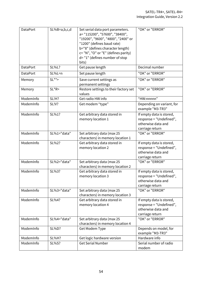| <b>DataPort</b> | $SL%B=a,b,c,d$ | Set serial data port parameters.<br>a="115200", "57600", "38400",<br>"19200", "9600", "4800", "2400" or<br>"1200" (defines baud rate)<br>b="8" (defines character length)<br>c= "N", "O" or "E" (defines parity)<br>d= "1" (defines number of stop<br>bits) | "OK" or "ERROR"                                                                              |
|-----------------|----------------|-------------------------------------------------------------------------------------------------------------------------------------------------------------------------------------------------------------------------------------------------------------|----------------------------------------------------------------------------------------------|
| <b>DataPort</b> | SL%L?          | Get pause length                                                                                                                                                                                                                                            | Decimal number                                                                               |
| <b>DataPort</b> | SL%L=n         | Set pause length                                                                                                                                                                                                                                            | "OK" or "ERROR"                                                                              |
| Memory          | $SL**$         | Save current settings as<br>permanent settings                                                                                                                                                                                                              | "OK" or "ERROR"                                                                              |
| Memory          | $SL*R$         | Restore settings to their factory set<br>values                                                                                                                                                                                                             | "OK" or "ERROR"                                                                              |
| ModemInfo       | SL!H?          | Get radio HW info                                                                                                                                                                                                                                           | "HW:nnnnn"                                                                                   |
| ModemInfo       | SL!V?          | Get modem "type"                                                                                                                                                                                                                                            | Depending on variant, for<br>example "M3-TR3"                                                |
| ModemInfo       | SL%1?          | Get arbitrary data stored in<br>memory location 1                                                                                                                                                                                                           | If empty data is stored,<br>response = "Undefined",<br>otherwise data and<br>carriage return |
| ModemInfo       | SL%1="data"    | Set arbitrary data (max 25<br>characters) in memory location 1                                                                                                                                                                                              | "OK" or "ERROR"                                                                              |
| ModemInfo       | SL%2?          | Get arbitrary data stored in<br>memory location 2                                                                                                                                                                                                           | If empty data is stored,<br>response = "Undefined",<br>otherwise data and<br>carriage return |
| ModemInfo       | SL%2="data"    | Set arbitrary data (max 25<br>characters) in memory location 2                                                                                                                                                                                              | "OK" or "ERROR"                                                                              |
| ModemInfo       | SL%3?          | Get arbitrary data stored in<br>memory location 3                                                                                                                                                                                                           | If empty data is stored,<br>response = "Undefined",<br>otherwise data and<br>carriage return |
| ModemInfo       | SL%3="data"    | Set arbitrary data (max 25<br>characters) in memory location 3                                                                                                                                                                                              | "OK" or "ERROR"                                                                              |
| ModemInfo       | SL%4?          | Get arbitrary data stored in<br>memory location 4                                                                                                                                                                                                           | If empty data is stored,<br>response = "Undefined",<br>otherwise data and<br>carriage return |
| ModemInfo       | SL%4="data"    | Set arbitrary data (max 25<br>characters) in memory location 4                                                                                                                                                                                              | "OK" or "ERROR"                                                                              |
| ModemInfo       | <b>SL%D?</b>   | Get Modem Type                                                                                                                                                                                                                                              | Depends on model, for<br>example "M3-TR3"                                                    |
| ModemInfo       | <b>SL%H?</b>   | Get logic hardware version                                                                                                                                                                                                                                  | Hardware info                                                                                |
| ModemInfo       | <b>SL%S?</b>   | <b>Get Serial Number</b>                                                                                                                                                                                                                                    | Serial number of radio<br>modem                                                              |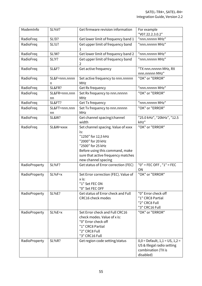| ModemInfo     | <b>SL%V?</b>        | Get firmware revision information                                                                                                                                                                          | For example<br>"V07.22.2.3.0.2"                                                                       |
|---------------|---------------------|------------------------------------------------------------------------------------------------------------------------------------------------------------------------------------------------------------|-------------------------------------------------------------------------------------------------------|
| RadioFreq     | SL!D?               | Get lower limit of frequency band 1                                                                                                                                                                        | "nnn.nnnnn MHz"                                                                                       |
| RadioFreq     | <b>SL!U?</b>        | Get upper limit of frequency band                                                                                                                                                                          | "nnn.nnnnn MHz"                                                                                       |
| RadioFreq     | SL!W?               | Get lower limit of frequency band 2                                                                                                                                                                        | "nnn.nnnnn MHz"                                                                                       |
| RadioFreq     | SL!Y?               | Get upper limit of frequency band<br>$\overline{2}$                                                                                                                                                        | "nnn.nnnnn MHz"                                                                                       |
| RadioFreq     | <b>SL&amp;F?</b>    | Get active frequency                                                                                                                                                                                       | "TX nnn.nnnnn MHz, RX<br>nnn.nnnnn MHz"                                                               |
| RadioFreq     | SL&F=nnn.nnnn<br>n  | Set active frequency to nnn.nnnnn<br>MHz                                                                                                                                                                   | "OK" or "ERROR"                                                                                       |
| RadioFreq     | <b>SL&amp;FR?</b>   | Get Rx frequency                                                                                                                                                                                           | "nnn.nnnnn MHz"                                                                                       |
| RadioFreq     | SL&FR=nnn.nnn<br>nn | Set Rx frequency to nnn.nnnnn<br><b>MHz</b>                                                                                                                                                                | "OK" or "ERROR"                                                                                       |
| RadioFreq     | <b>SL&amp;FT?</b>   | Get Tx frequency                                                                                                                                                                                           | "nnn.nnnnn MHz"                                                                                       |
| RadioFreq     | SL&FT=nnn.nnn<br>nn | Set Tx frequency to nnn.nnnnn<br>MHz                                                                                                                                                                       | "OK" or "ERROR"                                                                                       |
| RadioFreq     | <b>SL&amp;W?</b>    | Get channel spacing/channel<br>width                                                                                                                                                                       | "25.0 kHz", "20kHz", "12.5<br>kHz"                                                                    |
| RadioFreq     | SL&W=xxxx           | Set channel spacing. Value of xxxx<br>is:<br>"1250" for 12,5 kHz<br>"2000" for 20 kHz<br>"2500" for 25 kHz<br>Before using this command, make<br>sure that active frequency matches<br>new channel spacing | "OK" or "ERROR"                                                                                       |
| RadioProperty | <b>SL%F?</b>        | Get status of Error correction (FEC)                                                                                                                                                                       | $"0" = FEC OFF, "1" = FEC$<br>ON                                                                      |
| RadioProperty | $SL%F=x$            | Set Error correction (FEC). Value of<br>x is:<br>"1" Set FEC ON<br>"0" Set FEC OFF                                                                                                                         | "OK" or "ERROR"                                                                                       |
| RadioProperty | <b>SL%E?</b>        | Get status of Error check and Full<br><b>CRC16 check modes</b>                                                                                                                                             | "0" Error check off<br>"1" CRC8 Partial<br>"2" CRC8 Full<br>"3" CRC16 Full                            |
| RadioProperty | $SL%E=x$            | Set Error check and Full CRC16<br>check modes. Value of x is:<br>"0" Error check off<br>"1" CRC8 Partial<br>"2" CRC8 Full<br>"3" CRC16 Full                                                                | "OK" or "ERROR"                                                                                       |
| RadioProperty | <b>SL%R?</b>        | Get region code setting/status                                                                                                                                                                             | $0,0 =$ Default, $1,1 =$ US, $1,2 =$<br>US & Illegal radio setting<br>combination (TX is<br>disabled) |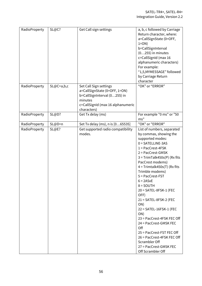| RadioProperty | <b>SL@C?</b> | Get Call sign settings                                                                                                                                 | a, b, c followed by Carriage<br>Return character, where:<br>a=CallSignState (0=OFF,<br>$1=ON$ )<br>b=CallSignInterval<br>$(0255)$ in minutes<br>c=CallSignId (max 16<br>alphanumeric characters)<br>For example:<br>"1,5,MYMESSAGE" followed<br>by Carriage Return<br>character                                                                                                                                                                                                                                                                                                                                |
|---------------|--------------|--------------------------------------------------------------------------------------------------------------------------------------------------------|----------------------------------------------------------------------------------------------------------------------------------------------------------------------------------------------------------------------------------------------------------------------------------------------------------------------------------------------------------------------------------------------------------------------------------------------------------------------------------------------------------------------------------------------------------------------------------------------------------------|
| RadioProperty | $SL@C=a,b,c$ | Set Call Sign settings<br>a=CallSignState (0=OFF, 1=ON)<br>b=CallSignInterval (0255) in<br>minutes<br>c=CallSignId (max 16 alphanumeric<br>characters) | "OK" or "ERROR"                                                                                                                                                                                                                                                                                                                                                                                                                                                                                                                                                                                                |
| RadioProperty | <b>SL@D?</b> | Get Tx delay (ms)                                                                                                                                      | For example "0 ms" or "50<br>ms"                                                                                                                                                                                                                                                                                                                                                                                                                                                                                                                                                                               |
| RadioProperty | SL@D=n       | Set Tx delay (ms), n is [065535]                                                                                                                       | "OK" or "ERROR"                                                                                                                                                                                                                                                                                                                                                                                                                                                                                                                                                                                                |
| RadioProperty | <b>SL@E?</b> | Get supported radio compatibility<br>modes.                                                                                                            | List of numbers, separated<br>by commas, showing the<br>supported modes:<br>$0 = SATELLINE-3AS$<br>$1 = PacCrest-4FSK$<br>$2 = PacCrest-GMSK$<br>$3 = TrimTalk450s(P)$ (Rx fits<br>PacCrest modems)<br>$4 = Trimtalk450s(T)$ (Rx fits<br>Trimble modems)<br>5 = PacCrest-FST<br>$6 = 2A$ SxE<br>$8 =$ SOUTH<br>$20 = SATEL-8FSK-1$ (FEC<br>OFF)<br>$21 = SATEL-8FSK-2$ (FEC<br>ON)<br>22 = SATEL-16FSK-1 (FEC<br>ON)<br>23 = PacCrest-4FSK FEC Off<br>24 = PacCrest-GMSK FEC<br>Off<br>25 = PacCrest-FST FEC Off<br>26 = PacCrest-4FSK FEC Off<br>Scrambler Off<br>27 = PacCrest-GMSK FEC<br>Off Scrambler Off |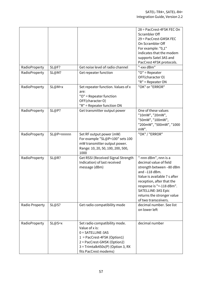|                |              |                                                                                                                                                                                                    | 28 = PacCrest-4FSK FEC On<br>Scrambler Off<br>29 = PacCrest-GMSK FEC<br>On Scrambler Off<br>For example: "0,1"<br>indicates that the modem<br>supports Satel 3AS and<br>PacCrest 4FSK protocols.                                                                           |
|----------------|--------------|----------------------------------------------------------------------------------------------------------------------------------------------------------------------------------------------------|----------------------------------------------------------------------------------------------------------------------------------------------------------------------------------------------------------------------------------------------------------------------------|
| RadioProperty  | SL@F?        | Get noise level of radio channel                                                                                                                                                                   | "-xxx dBm"                                                                                                                                                                                                                                                                 |
| RadioProperty  | SL@M?        | Get repeater function                                                                                                                                                                              | "O" = Repeater<br>OFF(character O)<br>$"R" = Repeated$ ON                                                                                                                                                                                                                  |
| RadioProperty  | $SL@M=x$     | Set repeater function. Values of x<br>are:<br>"O" = Repeater function<br>OFF(character O)<br>"R" = Repeater function ON                                                                            | "OK" or "ERROR"                                                                                                                                                                                                                                                            |
| RadioProperty  | <b>SL@P?</b> | Get transmitter output power                                                                                                                                                                       | One of these values<br>"10mW", "20mW",<br>"50mW", "100mW",<br>"200mW", "500mW", "1000<br>mW".                                                                                                                                                                              |
| RadioProperty  | SL@P=nnnnn   | Set RF output power (mW)<br>For example "SL@P=100" sets 100<br>mW transmitter output power.<br>Range: 10, 20, 50, 100, 200, 500,<br>1000                                                           | "OK" / "ERROR"                                                                                                                                                                                                                                                             |
| RadioProperty  | <b>SL@R?</b> | Get RSSI (Received Signal Strength<br>Indication) of last received<br>message (dBm)                                                                                                                | "-nnn dBm", nnn is a<br>decimal value of field<br>strength between -80 dBm<br>and $-118$ dBm.<br>Value is available 7 s after<br>reception, after that the<br>response is "<- 118 dBm".<br><b>SATELLINE-3AS Epic</b><br>returns the stronger value<br>of two transceivers. |
| Radio Property | SL@S?        | Get radio compatibility mode                                                                                                                                                                       | decimal number. See list<br>on lower left                                                                                                                                                                                                                                  |
| RadioProperty  | $SL@S=x$     | Set radio compatibility mode.<br>Value of x is:<br>$0 = SATELLINE-3AS$<br>1 = PacCrest-4FSK (Option1)<br>2 = PacCrest-GMSK (Option2)<br>3 = Trimtalk450s(P) (Option 3, RX<br>fits PacCrest modems) | decimal number                                                                                                                                                                                                                                                             |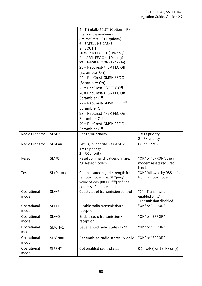|                     |                  | 4 = Trimtalk450s(T) (Option 4, RX<br>fits Trimble modems)<br>5 = PacCrest-FST (Option5)<br>$6 = SATELLINE-2ASK$<br>$8 =$ SOUTH<br>$20 = 8$ FSK FEC OFF (TR4 only)<br>$21 = 8$ FSK FEC ON (TR4 only)<br>$22 = 16$ FSK FEC ON (TR4 only)<br>23 = PacCrest-4FSK FEC Off<br>(Scrambler On)<br>24 = PacCrest-GMSK FEC Off<br>(Scrambler On)<br>25 = PacCrest-FST FEC Off |                                                                          |
|---------------------|------------------|---------------------------------------------------------------------------------------------------------------------------------------------------------------------------------------------------------------------------------------------------------------------------------------------------------------------------------------------------------------------|--------------------------------------------------------------------------|
|                     |                  | 26 = PacCrest-4FSK FEC Off<br>Scrambler Off<br>27 = PacCrest-GMSK FEC Off<br>Scrambler Off<br>28 = PacCrest-4FSK FEC On<br>Scrambler Off<br>29 = PacCrest-GMSK FEC On<br>Scrambler Off                                                                                                                                                                              |                                                                          |
| Radio Property      | <b>SL&amp;P?</b> | Get TX/RX priority.                                                                                                                                                                                                                                                                                                                                                 | $1 = TX$ priority<br>$2 = RX$ priority                                   |
| Radio Property      | SL&P=n           | Set TX/RX priority. Value of n:<br>$1 = TX$ priority<br>$2 = RX$ priority                                                                                                                                                                                                                                                                                           | OK or ERROR                                                              |
| Reset               | $SL@X=n$         | Reset command. Values of n are:<br>"9" Reset modem                                                                                                                                                                                                                                                                                                                  | "OK" or "ERROR", then<br>modem resets required<br>blocks.                |
| Test                | SL+P=xxxx        | Get measured signal strength from<br>remote modem i.e. SL "ping"<br>Value of xxxx [0000ffff] defines<br>address of remote modem                                                                                                                                                                                                                                     | "OK" followed by RSSI info<br>from remote modem                          |
| Operational<br>mode | $SL++?$          | Get status of transmission control                                                                                                                                                                                                                                                                                                                                  | "0" = Transmission<br>enabled or $"1" =$<br><b>Transmission disabled</b> |
| Operational<br>mode | $SL+++$          | Disable radio transmission /<br>reception                                                                                                                                                                                                                                                                                                                           | "OK" or "ERROR"                                                          |
| Operational<br>mode | $SL++O$          | Enable radio transmission /<br>reception                                                                                                                                                                                                                                                                                                                            | "OK" or "ERROR"                                                          |
| Operational<br>mode | $SL%N=1$         | Set enabled radio states Tx/Rx                                                                                                                                                                                                                                                                                                                                      | "OK" or "ERROR"                                                          |
| Operational<br>mode | $SL%N=0$         | Set enabled radio states Rx only                                                                                                                                                                                                                                                                                                                                    | "OK" or "ERROR"                                                          |
| Operational<br>mode | <b>SL%N?</b>     | Get enabled radio states                                                                                                                                                                                                                                                                                                                                            | $0$ (=Tx/Rx) or $1$ (=Rx only)                                           |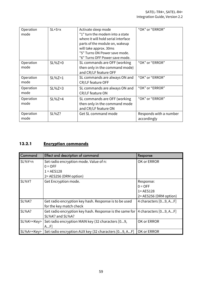| Operation<br>mode | $SL+S=x$ | Activate sleep mode<br>"1" turn the modem into a state<br>where it will hold serial interface<br>parts of the module on, wakeup<br>will take approx. 30ms<br>"5" Turns ON Power save mode.<br>"6" Turns OFF Power save mode. | "OK" or "ERROR"                       |
|-------------------|----------|------------------------------------------------------------------------------------------------------------------------------------------------------------------------------------------------------------------------------|---------------------------------------|
| Operation<br>mode | $SL%Z=0$ | SL commands are OFF (working<br>then only in the command mode)<br>and CR/LF feature OFF                                                                                                                                      | "OK" or "ERROR"                       |
| Operation<br>mode | $SL%Z=1$ | SL commands are always ON and<br>CR/LF feature OFF                                                                                                                                                                           | "OK" or "ERROR"                       |
| Operation<br>mode | $SL%Z=3$ | SL commands are always ON and<br>CR/LF feature ON                                                                                                                                                                            | "OK" or "ERROR"                       |
| Operation<br>mode | $SL%Z=4$ | SL commands are OFF (working<br>then only in the command mode<br>and CR/LF feature ON                                                                                                                                        | "OK" or "ERROR"                       |
| Operation<br>mode | SL%Z?    | <b>Get SL command mode</b>                                                                                                                                                                                                   | Responds with a number<br>accordingly |

#### **13.2.1 Encryption commands**

| Command      | Effect and description of command                                                | Response                |
|--------------|----------------------------------------------------------------------------------|-------------------------|
| $SL%Y=n$     | Set radio encryption mode. Value of n:                                           | OK or ERROR             |
|              | $0 = OFF$                                                                        |                         |
|              | $1 = AES128$                                                                     |                         |
|              | 2= AES256 (DRM option)                                                           |                         |
| <b>SL%Y?</b> | Get Encryption mode.                                                             | Response:               |
|              |                                                                                  | $0 = OFF$               |
|              |                                                                                  | $1 = AES128$            |
|              |                                                                                  | 2 = AES256 (DRM option) |
| <b>SL%K?</b> | Get radio encryption key hash. Response is to be used                            | 4 characters [09, AF]   |
|              | for the key match check                                                          |                         |
| <b>SL%A?</b> | Get radio encryption key hash. Response is the same for  4 characters $[09, AF]$ |                         |
|              | SL%K? and SL%A?                                                                  |                         |
| $SL%K=$      | Set radio encryption MAIN key (32 characters [09,                                | OK or ERROR             |
|              | AF                                                                               |                         |
| $SL%A=$      | Set radio encryption AUX key (32 characters [09, AF]                             | OK or ERROR             |